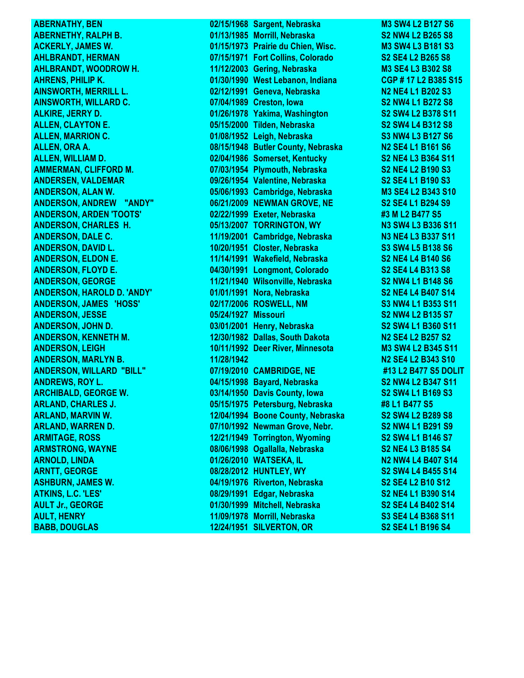**AULT Jr., GEORGE 01/30/1999** Mitchell, Nebraska **BABB, DOUGLAS 12/24/1951 SILVERTON, OR S2 SE4 L1 B196 S4**

**ABERNATHY, BEN 1988 Sargent, Nebraska M3 SW4 L2 B127 S6 ABERNETHY, RALPH B. 01/13/1985 Morrill, Nebraska S2 NW4 L2 B265 S8 ACKERLY, JAMES W. 01/15/1973 Prairie du Chien, Wisc. M3 SW4 L3 B181 S3 AHLBRANDT, HERMAN 07/15/1971 Fort Collins, Colorado S2 SE4 L2 B265 S8 AHLBRANDT, WOODROW H. 11/12/2003 Gering, Nebraska M3 SE4 L3 B302 S8 AHRENS, PHILIP K. 01/30/1990 West Lebanon, Indiana CGP # 17 L2 B385 S15 AINSWORTH, MERRILL L. 02/12/1991 Geneva, Nebraska N2 NE4 L1 B202 S3 AINSWORTH, WILLARD C. 07/04/1989 Creston, Iowa S2 NW4 L1 B272 S8 ALKIRE, JERRY D. 01/26/1978 Yakima, Washington S2 SW4 L2 B378 S11 ALLEN, CLAYTON E. 05/15/2000 Tilden, Nebraska S2 SW4 L4 B312 S8 ALLEN, MARRION C. 01/08/1952 Leigh, Nebraska S3 NW4 L3 B127 S6 ALLEN, ORA A. 08/15/1948 Butler County, Nebraska N2 SE4 L1 B161 S6 ALLEN, WILLIAM D. 02/04/1986 Somerset, Kentucky S2 NE4 L3 B364 S11 AMMERMAN, CLIFFORD M. 07/03/1954 Plymouth, Nebraska S2 NE4 L2 B190 S3 ANDERSEN, VALDEMAR 09/26/1954 Valentine, Nebraska S2 SE4 L1 B190 S3 ANDERSON, ALAN W. 05/06/1993 Cambridge, Nebraska M3 SE4 L2 B343 S10 ANDERSON, ANDREW "ANDY" 06/21/2009 NEWMAN GROVE, NE S2 SE4 L1 B294 S9 ANDERSON, ARDEN 'TOOTS' 02/22/1999 Exeter, Nebraska #3 M L2 B477 S5 ANDERSON, CHARLES H. 05/13/2007 TORRINGTON, WY N3 SW4 L3 B336 S11 ANDERSON, DALE C. 11/19/2001 Cambridge, Nebraska N3 NE4 L3 B337 S11 ANDERSON, DAVID L. 10/20/1951 Closter, Nebraska S3 SW4 L5 B138 S6 ANDERSON, ELDON E. 11/14/1991 Wakefield, Nebraska S2 NE4 L4 B140 S6 ANDERSON, FLOYD E. 04/30/1991 Longmont, Colorado S2 SE4 L4 B313 S8 ANDERSON, GEORGE 11/21/1940 Wilsonville, Nebraska S2 NW4 L1 B148 S6 ANDERSON, HAROLD D. 'ANDY' 01/01/1991 Nora, Nebraska S2 NE4 L4 B407 S14 ANDERSON, JAMES 'HOSS' 02/17/2006 ROSWELL, NM S3 NW4 L1 B353 S11 ANDERSON, JESSE 05/24/1927 Missouri S2 NW4 L2 B135 S7 ANDERSON, JOHN D. 03/01/2001 Henry, Nebraska S2 SW4 L1 B360 S11 ANDERSON, KENNETH M. 12/30/1982 Dallas, South Dakota N2 SE4 L2 B257 S2 ANDERSON, LEIGH 10/11/1992 Deer River, Minnesota M3 SW4 L2 B345 S11 ANDERSON, MARLYN B. 11/28/1942 N2 SE4 L2 B343 S10 ANDERSON, WILLARD "BILL" 07/19/2010 CAMBRIDGE, NE #13 L2 B477 S5 DOLIT ANDREWS, ROY L. 04/15/1998 Bayard, Nebraska S2 NW4 L2 B347 S11 ARCHIBALD, GEORGE W. 03/14/1950 Davis County, Iowa S2 SW4 L1 B169 S3 ARLAND, CHARLES J. 05/15/1975 Petersburg, Nebraska #8 L1 B477 S5 ARLAND, MARVIN W. 12/04/1994 Boone County, Nebraska S2 SW4 L2 B289 S8 ARLAND, WARREN D. 07/10/1992 Newman Grove, Nebr. S2 NW4 L1 B291 S9 ARMITAGE, ROSS 12/21/1949 Torrington, Wyoming S2 SW4 L1 B146 S7 ARMSTRONG, WAYNE 08/06/1998 Ogallalla, Nebraska S2 NE4 L3 B185 S4 ARNOLD, LINDA 01/26/2010 WATSEKA, IL N2 NW4 L4 B407 S14 ARNTT, GEORGE 08/28/2012 HUNTLEY, WY S2 SW4 L4 B455 S14 ASHBURN, JAMES W. 04/19/1976 Riverton, Nebraska S2 SE4 L2 B10 S12 ATKINS, L.C. 'LES' 08/29/1991 Edgar, Nebraska S2 NE4 L1 B390 S14 AULT, HENRY 11/09/1978 Morrill, Nebraska S3 SE4 L4 B368 S11**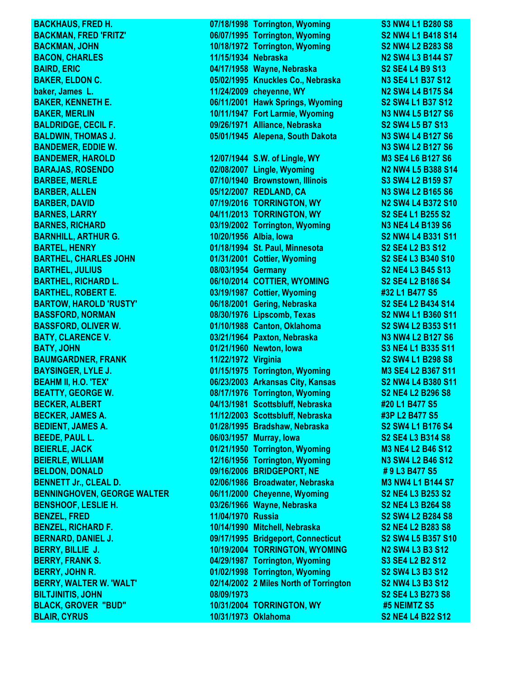**BLAIR, CYRUS 10/31/1973 Oklahoma S2 NE4 L4 B22 S12** 

**BACKHAUS, FRED H. 07/18/1998 Torrington, Wyoming S3 NW4 L1 B280 S8 BACKMAN, FRED 'FRITZ' 06/07/1995 Torrington, Wyoming S2 NW4 L1 B418 S14 BACKMAN, JOHN 10/18/1972 Torrington, Wyoming S2 NW4 L2 B283 S8 BACON, CHARLES 11/15/1934 Nebraska N2 SW4 L3 B144 S7 BAIRD, ERIC 04/17/1958 Wayne, Nebraska S2 SE4 L4 B9 S13 BAKER, ELDON C. 05/02/1995 Knuckles Co., Nebraska N3 SE4 L1 B37 S12 baker, James L. 11/24/2009 cheyenne, WY N2 SW4 L4 B175 S4 BAKER, KENNETH E. 06/11/2001 Hawk Springs, Wyoming S2 SW4 L1 B37 S12 BAKER, MERLIN 10/11/1947 Fort Larmie, Wyoming N3 NW4 L5 B127 S6 BALDRIDGE, CECIL F. 09/26/1971 Alliance, Nebraska S2 SW4 L5 B7 S13 BALDWIN, THOMAS J. 05/01/1945 Alepena, South Dakota N3 SW4 L4 B127 S6 BANDEMER, EDDIE W. N3 SW4 L2 B127 S6 BANDEMER, HAROLD 12/07/1944 S.W. of Lingle, WY M3 SE4 L6 B127 S6 BARAJAS, ROSENDO 02/08/2007 Lingle, Wyoming N2 NW4 L5 B388 S14 BARBEE, MERLE 07/10/1940 Brownstown, Illinois S3 SW4 L2 B159 S7 BARBER, ALLEN 05/12/2007 REDLAND, CA N3 SW4 L2 B165 S6 BARBER, DAVID 07/19/2016 TORRINGTON, WY N2 SW4 L4 B372 S10 BARNES, LARRY 04/11/2013 TORRINGTON, WY S2 SE4 L1 B255 S2 BARNES, RICHARD 03/19/2002 Torrington, Wyoming N3 NE4 L4 B139 S6 BARNHILL, ARTHUR G. 10/20/1956 Albia, Iowa S2 NW4 L4 B331 S11 BARTEL, HENRY 01/18/1994 St. Paul, Minnesota S2 SE4 L2 B3 S12 BARTHEL, CHARLES JOHN 01/31/2001 Cottier, Wyoming S2 SE4 L3 B340 S10 BARTHEL, JULIUS 08/03/1954 Germany S2 NE4 L3 B45 S13 BARTHEL, RICHARD L. 06/10/2014 COTTIER, WYOMING S2 SE4 L2 B186 S4 BARTHEL, ROBERT E. 03/19/1987 Cottier, Wyoming #32 L1 B477 S5 BARTOW, HAROLD 'RUSTY' 06/18/2001 Gering, Nebraska S2 SE4 L2 B434 S14 BASSFORD, NORMAN 08/30/1976 Lipscomb, Texas S2 NW4 L1 B360 S11 BASSFORD, OLIVER W. 01/10/1988 Canton, Oklahoma S2 SW4 L2 B353 S11 BATY, CLARENCE V. 03/21/1964 Paxton, Nebraska N3 NW4 L2 B127 S6 BATY, JOHN 01/21/1960 Newton, Iowa S3 NE4 L1 B335 S11 BAUMGARDNER, FRANK 11/22/1972 Virginia S2 SW4 L1 B298 S8 BAYSINGER, LYLE J. 01/15/1975 Torrington, Wyoming M3 SE4 L2 B367 S11 BEAHM II, H.O. 'TEX' 06/23/2003 Arkansas City, Kansas S2 NW4 L4 B380 S11 BEATTY, GEORGE W. 08/17/1976 Torrington, Wyoming S2 NE4 L2 B296 S8 BECKER, ALBERT 04/13/1981 Scottsbluff, Nebraska #20 L1 B477 S5 BECKER, JAMES A. 11/12/2003 Scottsbluff, Nebraska #3P L2 B477 S5 BEDIENT, JAMES A. 01/28/1995 Bradshaw, Nebraska S2 SW4 L1 B176 S4 BEEDE, PAUL L. 06/03/1957 Murray, Iowa S2 SE4 L3 B314 S8 BEIERLE, JACK 01/21/1950 Torrington, Wyoming M3 NE4 L2 B46 S12 BEIERLE, WILLIAM 12/16/1956 Torrington, Wyoming N3 SW4 L2 B46 S12 BELDON, DONALD 09/16/2006 BRIDGEPORT, NE # 9 L3 B477 S5 BENNETT Jr., CLEAL D. 02/06/1986 Broadwater, Nebraska M3 NW4 L1 B144 S7 BENNINGHOVEN, GEORGE WALTER 06/11/2000 Cheyenne, Wyoming S2 NE4 L3 B253 S2 BENSHOOF, LESLIE H. 03/26/1966 Wayne, Nebraska S2 NE4 L3 B264 S8 BENZEL, FRED 11/04/1970 Russia S2 SW4 L2 B284 S8 BENZEL, RICHARD F. 10/14/1990 Mitchell, Nebraska S2 NE4 L2 B283 S8 BERNARD, DANIEL J. 09/17/1995 Bridgeport, Connecticut S2 SW4 L5 B357 S10 BERRY, BILLIE J. 10/19/2004 TORRINGTON, WYOMING N2 SW4 L3 B3 S12 BERRY, FRANK S. 04/29/1987 Torrington, Wyoming S3 SE4 L2 B2 S12 BERRY, JOHN R. 01/02/1998 Torrington, Wyoming S2 SW4 L3 B3 S12 BERRY, WALTER W. 'WALT' 02/14/2002 2 Miles North of Torrington S2 NW4 L3 B3 S12 BILTJINITIS, JOHN 08/09/1973 S2 SE4 L3 B273 S8 BLACK, GROVER "BUD" 10/31/2004 TORRINGTON, WY #5 NEIMTZ S5**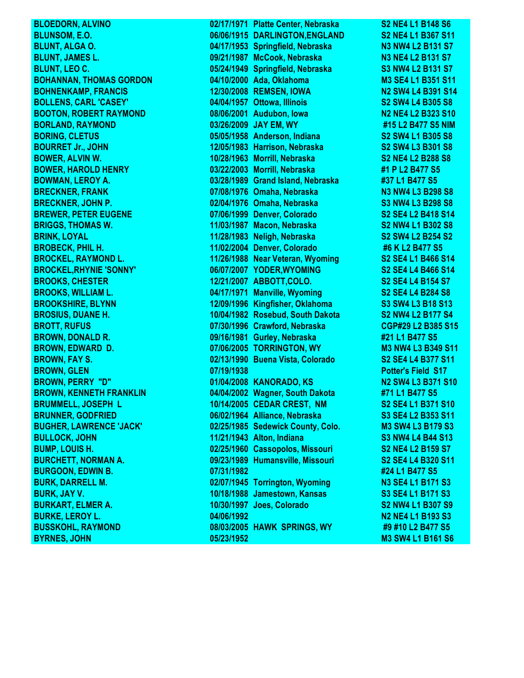**BYRNES, JOHN 05/23/1952 M3 SW4 L1 B161 S6**

**BLOEDORN, ALVINO** 02/17/1971 Platte Center, Nebraska S2 NE4 L1 B148 S6 **BLUNSOM, E.O. 06/06/1915 DARLINGTON,ENGLAND S2 NE4 L1 B367 S11 BLUNT, ALGA O. 04/17/1953 Springfield, Nebraska N3 NW4 L2 B131 S7 BLUNT, JAMES L. 09/21/1987 McCook, Nebraska N3 NE4 L2 B131 S7 BLUNT, LEO C. 05/24/1949 Springfield, Nebraska S3 NW4 L2 B131 S7 BOHANNAN, THOMAS GORDON 04/10/2000 Ada, Oklahoma M3 SE4 L1 B351 S11 BOHNENKAMP, FRANCIS 12/30/2008 REMSEN, IOWA N2 SW4 L4 B391 S14 BOLLENS, CARL 'CASEY' 04/04/1957 Ottowa, Illinois S2 SW4 L4 B305 S8 BOOTON, ROBERT RAYMOND 08/06/2001 Audubon, Iowa N2 NE4 L2 B323 S10 BORLAND, RAYMOND 03/26/2009 JAY EM, WY #15 L2 B477 S5 NIM BORING, CLETUS 05/05/1958 Anderson, Indiana S2 SW4 L1 B305 S8 BOURRET Jr., JOHN 12/05/1983 Harrison, Nebraska S2 SW4 L3 B301 S8 BOWER, ALVIN W. 10/28/1963 Morrill, Nebraska S2 NE4 L2 B288 S8 BOWER, HAROLD HENRY 03/22/2003 Morrill, Nebraska #1 P L2 B477 S5 BOWMAN, LEROY A. 03/28/1989 Grand Island, Nebraska #37 L1 B477 S5 BRECKNER, FRANK 07/08/1976 Omaha, Nebraska N3 NW4 L3 B298 S8 BRECKNER, JOHN P. 02/04/1976 Omaha, Nebraska S3 NW4 L3 B298 S8 BREWER, PETER EUGENE 07/06/1999 Denver, Colorado S2 SE4 L2 B418 S14 BRIGGS, THOMAS W. 11/03/1987 Macon, Nebraska S2 NW4 L1 B302 S8 BRINK, LOYAL 11/28/1983 Neligh, Nebraska S2 SW4 L2 B254 S2 BROBECK, PHIL H. 11/02/2004 Denver, Colorado #6 K L2 B477 S5 BROCKEL, RAYMOND L. 11/26/1988 Near Veteran, Wyoming S2 SE4 L1 B466 S14 BROCKEL,RHYNIE 'SONNY' 06/07/2007 YODER,WYOMING S2 SE4 L4 B466 S14 BROOKS, CHESTER 12/21/2007 ABBOTT,COLO. S2 SE4 L4 B154 S7 BROOKS, WILLIAM L. 04/17/1971 Manville, Wyoming S2 SE4 L4 B284 S8 BROOKSHIRE, BLYNN 12/09/1996 Kingfisher, Oklahoma S3 SW4 L3 B18 S13 BROSIUS, DUANE H. 10/04/1982 Rosebud, South Dakota S2 NW4 L2 B177 S4 BROTT, RUFUS 07/30/1996 Crawford, Nebraska CGP#29 L2 B385 S15 BROWN, DONALD R. 09/16/1981 Gurley, Nebraska #21 L1 B477 S5 BROWN, EDWARD D. 07/06/2005 TORRINGTON, WY M3 NW4 L3 B349 S11 BROWN, FAY S. 02/13/1990 Buena Vista, Colorado S2 SE4 L4 B377 S11 BROWN, GLEN 07/19/1938 Potter's Field S17 BROWN, PERRY "D" 01/04/2008 KANORADO, KS N2 SW4 L3 B371 S10 BROWN, KENNETH FRANKLIN 04/04/2002 Wagner, South Dakota #71 L1 B477 S5 BRUMMELL, JOSEPH L 10/14/2005 CEDAR CREST, NM S2 SE4 L1 B371 S10 BRUNNER, GODFRIED 06/02/1964 Alliance, Nebraska S3 SE4 L2 B353 S11 BUGHER, LAWRENCE 'JACK' 02/25/1985 Sedewick County, Colo. M3 SW4 L3 B179 S3 BULLOCK, JOHN 11/21/1943 Alton, Indiana S3 NW4 L4 B44 S13 BUMP, LOUIS H. 02/25/1960 Cassopolos, Missouri S2 NE4 L2 B159 S7 BURCHETT, NORMAN A. 09/23/1989 Humansville, Missouri S2 SE4 L4 B320 S11 BURGOON, EDWIN B. 07/31/1982 #24 L1 B477 S5 BURK, DARRELL M. 02/07/1945 Torrington, Wyoming N3 SE4 L1 B171 S3 BURK, JAY V. 10/18/1988 Jamestown, Kansas S3 SE4 L1 B171 S3 BURKART, ELMER A. 10/30/1997 Joes, Colorado S2 NW4 L1 B307 S9 BURKE, LEROY L. 04/06/1992 N2 NE4 L1 B193 S3 BUSSKOHL, RAYMOND 08/03/2005 HAWK SPRINGS, WY #9 #10 L2 B477 S5**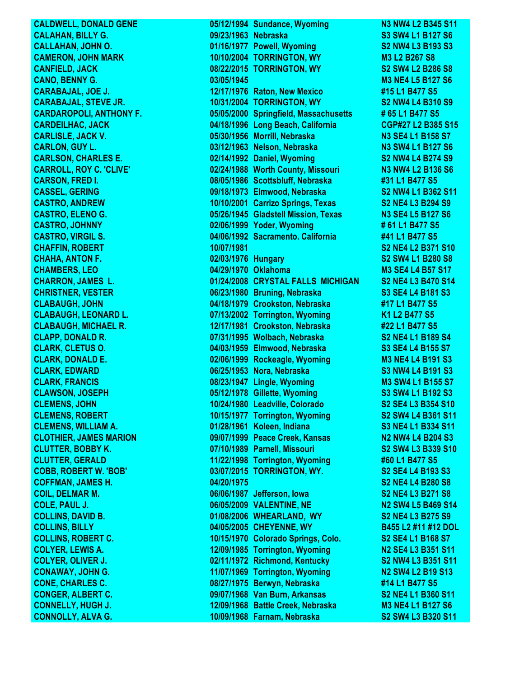**CONNOLLY, ALVA G. 10/09/1968 Farnam, Nebraska S2 SW4 L3 B320 S11**

**CALDWELL, DONALD GENE 05/12/1994 Sundance, Wyoming N3 NW4 L2 B345 S11 CALAHAN, BILLY G. 09/23/1963 Nebraska S2000 S3 SW4 L1 B127 S6 CALLAHAN, JOHN O. 01/16/1977 Powell, Wyoming S2 NW4 L3 B193 S3 CAMERON, JOHN MARK 10/10/2004 TORRINGTON, WY M3 L2 B267 S8 CANFIELD, JACK 08/22/2015 TORRINGTON, WY S2 SW4 L2 B286 S8 CANO, BENNY G. 03/05/1945 M3 NE4 L5 B127 S6 CARABAJAL, JOE J. 12/17/1976 Raton, New Mexico #15 L1 B477 S5 CARABAJAL, STEVE JR. 10/31/2004 TORRINGTON, WY S2 NW4 L4 B310 S9 CARDAROPOLI, ANTHONY F. 05/05/2000 Springfield, Massachusetts # 65 L1 B477 S5 CARDEILHAC, JACK 04/18/1996 Long Beach, California CGP#27 L2 B385 S15 CARLISLE, JACK V. 05/30/1956 Morrill, Nebraska N3 SE4 L1 B158 S7 CARLON, GUY L. 03/12/1963 Nelson, Nebraska N3 SW4 L1 B127 S6 CARLSON, CHARLES E. 02/14/1992 Daniel, Wyoming S2 NW4 L4 B274 S9 CARROLL, ROY C. 'CLIVE' 02/24/1988 Worth County, Missouri N3 NW4 L2 B136 S6 CARSON, FRED I. 08/05/1986 Scottsbluff, Nebraska #31 L1 B477 S5 CASSEL, GERING 09/18/1973 Elmwood, Nebraska S2 NW4 L1 B362 S11 CASTRO, ANDREW 10/10/2001 Carrizo Springs, Texas S2 NE4 L3 B294 S9 CASTRO, ELENO G. 05/26/1945 Gladstell Mission, Texas N3 SE4 L5 B127 S6 CASTRO, JOHNNY 02/06/1999 Yoder, Wyoming # 61 L1 B477 S5 CASTRO, VIRGIL S. 04/06/1992 Sacramento. California #41 L1 B477 S5 CHAFFIN, ROBERT 10/07/1981 S2 NE4 L2 B371 S10 CHAHA, ANTON F. 02/03/1976 Hungary S2 SW4 L1 B280 S8 CHAMBERS, LEO 04/29/1970 Oklahoma M3 SE4 L4 B57 S17 CHARRON, JAMES L. 01/24/2008 CRYSTAL FALLS MICHIGAN S2 NE4 L3 B470 S14 CHRISTNER, VESTER CHRISTNER** 06/23/1980 Bruning, Nebraska S3 SE4 L4 B181 S3 **CLABAUGH, JOHN 04/18/1979 Crookston, Nebraska #17 L1 B477 S5 CLABAUGH, LEONARD L. 07/13/2002 Torrington, Wyoming K1 L2 B477 S5 CLABAUGH, MICHAEL R. 12/17/1981 Crookston, Nebraska #22 L1 B477 S5 CLAPP, DONALD R. 07/31/1995 Wolbach, Nebraska S2 NE4 L1 B189 S4 CLARK, CLETUS O. 04/03/1959 Elmwood, Nebraska S3 SE4 L4 B155 S7 CLARK, DONALD E. 02/06/1999 Rockeagle, Wyoming M3 NE4 L4 B191 S3 CLARK, EDWARD 06/25/1953 Nora, Nebraska S3 NW4 L4 B191 S3 CLARK, FRANCIS 08/23/1947 Lingle, Wyoming M3 SW4 L1 B155 S7 CLAWSON, JOSEPH 05/12/1978 Gillette, Wyoming S3 SW4 L1 B192 S3 CLEMENS, JOHN 10/24/1980 Leadville, Colorado S2 SE4 L3 B354 S10 CLEMENS, ROBERT 10/15/1977 Torrington, Wyoming S2 SW4 L4 B361 S11 CLEMENS, WILLIAM A. 01/28/1961 Koleen, Indiana S3 NE4 L1 B334 S11 CLOTHIER, JAMES MARION 09/07/1999 Peace Creek, Kansas N2 NW4 L4 B204 S3 CLUTTER, BOBBY K. 07/10/1989 Parnell, Missouri S2 SW4 L3 B339 S10 CLUTTER, GERALD 11/22/1998 Torrington, Wyoming #60 L1 B477 S5 COBB, ROBERT W. 'BOB' 03/07/2015 TORRINGTON, WY. S2 SE4 L4 B193 S3 COFFMAN, JAMES H. 04/20/1975 S2 NE4 L4 B280 S8 COIL, DELMAR M. 06/06/1987 Jefferson, Iowa S2 NE4 L3 B271 S8 COLE, PAUL J. 06/05/2009 VALENTINE, NE N2 SW4 L5 B469 S14 COLLINS, DAVID B. 01/08/2006 WHEARLAND, WY S2 NE4 L3 B275 S9 COLLINS, BILLY 04/05/2005 CHEYENNE, WY B455 L2 #11 #12 DOL COLLINS, ROBERT C. 10/15/1970 Colorado Springs, Colo. S2 SE4 L1 B168 S7 COLYER, LEWIS A. 12/09/1985 Torrington, Wyoming N2 SE4 L3 B351 S11 COLYER, OLIVER J. 02/11/1972 Richmond, Kentucky S2 NW4 L3 B351 S11 CONAWAY, JOHN G. 11/07/1969 Torrington, Wyoming N2 SW4 L2 B19 S13 CONE, CHARLES C. 08/27/1975 Berwyn, Nebraska #14 L1 B477 S5 CONGER, ALBERT C. 09/07/1968 Van Burn, Arkansas S2 NE4 L1 B360 S11 CONNELLY, HUGH J. 12/09/1968 Battle Creek, Nebraska M3 NE4 L1 B127 S6**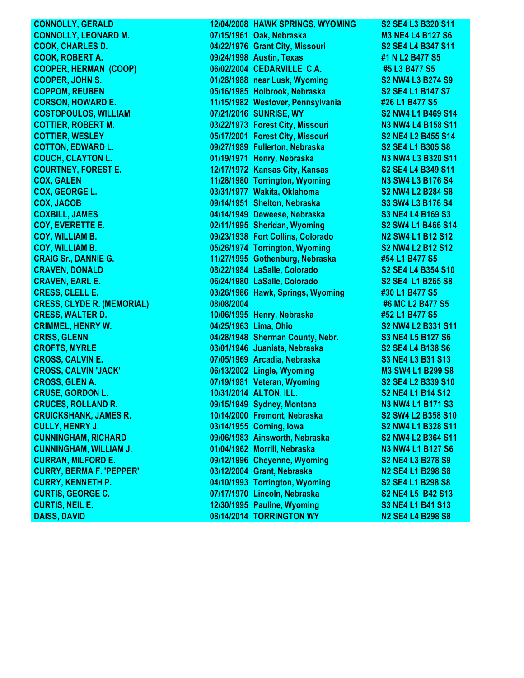**CONNOLLY, GERALD 12/04/2008 HAWK SPRINGS, WYOMING S2 SE4 L3 B320 S11 CONNOLLY, LEONARD M. 07/15/1961 Oak, Nebraska M3 NE4 L4 B127 S6 COOK, CHARLES D. 04/22/1976 Grant City, Missouri S2 SE4 L4 B347 S11 COOK, ROBERT A. 09/24/1998 Austin, Texas #1 N L2 B477 S5 06/02/2004 CEDARVILLE C.A. #5 L3 B477 S5 COOPER, JOHN S. 01/28/1988 near Lusk, Wyoming S2 NW4 L3 B274 S9 COPPOM, REUBEN 05/16/1985 Holbrook, Nebraska S2 SE4 L1 B147 S7 CORSON, HOWARD E. 11/15/1982 Westover, Pennsylvania #26 L1 B477 S5 COSTOPOULOS, WILLIAM 07/21/2016 SUNRISE, WY S2 NW4 L1 B469 S14 COTTIER, ROBERT M. 03/22/1973 Forest City, Missouri N3 NW4 L4 B158 S11 COTTIER, WESLEY 05/17/2001 Forest City, Missouri S2 NE4 L2 B455 S14 COTTON, EDWARD L. 09/27/1989 Fullerton, Nebraska S2 SE4 L1 B305 S8 COUCH, CLAYTON L. 01/19/1971 Henry, Nebraska N3 NW4 L3 B320 S11 COURTNEY, FOREST E. 12/17/1972 Kansas City, Kansas S2 SE4 L4 B349 S11 COX, GALEN 11/28/1980 Torrington, Wyoming N3 SW4 L3 B176 S4 COX, GEORGE L. 03/31/1977 Wakita, Oklahoma S2 NW4 L2 B284 S8 COX, JACOB 09/14/1951 Shelton, Nebraska S3 SW4 L3 B176 S4 COXBILL, JAMES 04/14/1949 Deweese, Nebraska S3 NE4 L4 B169 S3 COY, EVERETTE E. 02/11/1995 Sheridan, Wyoming S2 SW4 L1 B466 S14 COY, WILLIAM B. 09/23/1938 Fort Collins, Colorado N2 SW4 L1 B12 S12 COY, WILLIAM B. 05/26/1974 Torrington, Wyoming S2 NW4 L2 B12 S12 CRAIG Sr., DANNIE G. 11/27/1995 Gothenburg, Nebraska #54 L1 B477 S5 CRAVEN, DONALD 08/22/1984 LaSalle, Colorado S2 SE4 L4 B354 S10 CRAVEN, EARL E. 06/24/1980 LaSalle, Colorado S2 SE4 L1 B265 S8 CRESS, CLELL E. 03/26/1986 Hawk, Springs, Wyoming #30 L1 B477 S5 CRESS, CLYDE R. (MEMORIAL) 08/08/2004 #6 MC L2 B477 S5 CRESS, WALTER D. 10/06/1995 Henry, Nebraska #52 L1 B477 S5 CRIMMEL, HENRY W. 04/25/1963 Lima, Ohio S2 NW4 L2 B331 S11 CRISS, GLENN 04/28/1948 Sherman County, Nebr. S3 NE4 L5 B127 S6 CROFTS, MYRLE 03/01/1946 Juaniata, Nebraska S2 SE4 L4 B138 S6 CROSS, CALVIN E. 07/05/1969 Arcadia, Nebraska S3 NE4 L3 B31 S13 CROSS, CALVIN 'JACK' 06/13/2002 Lingle, Wyoming M3 SW4 L1 B299 S8 CROSS, GLEN A. 07/19/1981 Veteran, Wyoming S2 SE4 L2 B339 S10 CRUSE, GORDON L. 10/31/2014 ALTON, ILL. S2 NE4 L1 B14 S12 CRUCES, ROLLAND R. 09/15/1949 Sydney, Montana N3 NW4 L1 B171 S3 CRUICKSHANK, JAMES R. 10/14/2000 Fremont, Nebraska S2 SW4 L2 B358 S10 CULLY, HENRY J. 03/14/1955 Corning, Iowa S2 NW4 L1 B328 S11 CUNNINGHAM, RICHARD 09/06/1983 Ainsworth, Nebraska S2 NW4 L2 B364 S11 CUNNINGHAM, WILLIAM J. 01/04/1962 Morrill, Nebraska N3 NW4 L1 B127 S6 CURRAN, MILFORD E. 09/12/1996 Cheyenne, Wyoming S2 NE4 L3 B278 S9 CURRY, BERMA F. 'PEPPER' 03/12/2004 Grant, Nebraska N2 SE4 L1 B298 S8 CURRY, KENNETH P. 04/10/1993 Torrington, Wyoming S2 SE4 L1 B298 S8 CURTIS, GEORGE C. 07/17/1970 Lincoln, Nebraska S2 NE4 L5 B42 S13 CURTIS, NEIL E. 12/30/1995 Pauline, Wyoming S3 NE4 L1 B41 S13 DAISS, DAVID 08/14/2014 TORRINGTON WY N2 SE4 L4 B298 S8**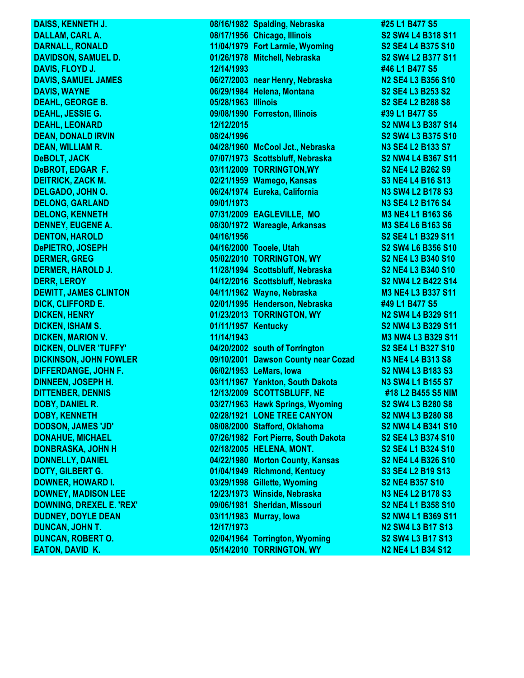**DAISS, KENNETH J. 08/16/1982 Spalding, Nebraska #25 L1 B477 S5 DALLAM, CARL A. 08/17/1956 Chicago, Illinois S2 SW4 L4 B318 S11 DARNALL, RONALD 11/04/1979 Fort Larmie, Wyoming S2 SE4 L4 B375 S10 DAVIDSON, SAMUEL D. 01/26/1978 Mitchell, Nebraska S2 SW4 L2 B377 S11 DAVIS, FLOYD J. 12/14/1993 #46 L1 B477 S5 DAVIS, SAMUEL JAMES** 06/27/2003 near Henry, Nebraska N2 SE4 L3 B356 S10 **DAVIS, WAYNE 06/29/1984 Helena, Montana S2 SE4 L3 B253 S2 DEAHL, GEORGE B. 05/28/1963 Illinois S2 SE4 L2 B288 S8 DEAHL, JESSIE G. 09/08/1990 Forreston, Illinois #39 L1 B477 S5 DEAHL, LEONARD 12/12/2015 S2 NW4 L3 B387 S14 DEAN, DONALD IRVIN 08/24/1996 S2 SW4 L3 B375 S10 DEAN, WILLIAM R. 04/28/1960 McCool Jct., Nebraska N3 SE4 L2 B133 S7 DeBOLT, JACK 07/07/1973 Scottsbluff, Nebraska S2 NW4 L4 B367 S11 DeBROT, EDGAR F. 03/11/2009 TORRINGTON,WY S2 NE4 L2 B262 S9 DEITRICK, ZACK M.** 02/21/1959 Wamego, Kansas S3 NE4 L4 B16 S13 **DELGADO, JOHN O. 06/24/1974 Eureka, California N3 SW4 L2 B178 S3 DELONG, GARLAND 09/01/1973 N3 SE4 L2 B176 S4 DELONG, KENNETH 07/31/2009 EAGLEVILLE, MO M3 NE4 L1 B163 S6 DENNEY, EUGENE A. 08/30/1972 Wareagle, Arkansas M3 SE4 L6 B163 S6 DENTON, HAROLD 04/16/1956 S2 SE4 L1 B329 S11 DePIETRO, JOSEPH 04/16/2000 Tooele, Utah S2 SW4 L6 B356 S10 DERMER, GREG 05/02/2010 TORRINGTON, WY S2 NE4 L3 B340 S10 DERMER, HAROLD J. 11/28/1994 Scottsbluff, Nebraska S2 NE4 L3 B340 S10** PERR, LEROY **DERR, LEROY 1999 12: 2016** 04/12/2016 Scottsbluff, Nebraska S2 NW4 L2 B422 S14<br>DEWITT, JAMES CLINTON 04/11/1962 Wayne, Nebraska M3 NE4 L3 B337 S11 **04/11/1962 Wayne, Nebraska M3 NE4 L3 B337 S11 DICK, CLIFFORD E. 02/01/1995 Henderson, Nebraska #49 L1 B477 S5 DICKEN, HENRY 01/23/2013 TORRINGTON, WY N2 SW4 L4 B329 S11 DICKEN, ISHAM S. 01/11/1957 Kentucky S2 NW4 L3 B329 S11 DICKEN, MARION V. 11/14/1943 M3 NW4 L3 B329 S11 DICKEN, OLIVER 'TUFFY' 04/20/2002 south of Torrington S2 SE4 L1 B327 S10 DICKINSON, JOHN FOWLER 09/10/2001 Dawson County near Cozad N3 NE4 L4 B313 S8 DIFFERDANGE, JOHN F. 06/02/1953 LeMars, Iowa S2 NW4 L3 B183 S3 DINNEEN, JOSEPH H. 03/11/1967 Yankton, South Dakota N3 SW4 L1 B155 S7 DITTENBER, DENNIS 12/13/2009 SCOTTSBLUFF, NE #18 L2 B455 S5 NIM DOBY, DANIEL R. 03/27/1963 Hawk Springs, Wyoming S2 SW4 L3 B280 S8 DOBY, KENNETH 02/28/1921 LONE TREE CANYON S2 NW4 L3 B280 S8 DODSON, JAMES 'JD' 08/08/2000 Stafford, Oklahoma S2 NW4 L4 B341 S10 DONAHUE, MICHAEL 07/26/1982 Fort Pierre, South Dakota S2 SE4 L3 B374 S10 DONBRASKA, JOHN H 02/18/2005 HELENA, MONT. S2 SE4 L1 B324 S10 DONNELLY, DANIEL 04/22/1980 Morton County, Kansas S2 NE4 L4 B326 S10 DOTY, GILBERT G. 01/04/1949 Richmond, Kentucy S3 SE4 L2 B19 S13 DOWNER, HOWARD I. 03/29/1998 Gillette, Wyoming S2 NE4 B357 S10 DOWNEY, MADISON LEE 12/23/1973 Winside, Nebraska N3 NE4 L2 B178 S3 DOWNING, DREXEL E. 'REX' 09/06/1981 Sheridan, Missouri S2 NE4 L1 B358 S10 DUDNEY, DOYLE DEAN 03/11/1983 Murray, Iowa S2 NW4 L1 B369 S11 DUNCAN, JOHN T. 12/17/1973 N2 SW4 L3 B17 S13 DUNCAN, ROBERT O. 02/04/1964 Torrington, Wyoming S2 SW4 L3 B17 S13 EATON, DAVID K. 05/14/2010 TORRINGTON, WY N2 NE4 L1 B34 S12**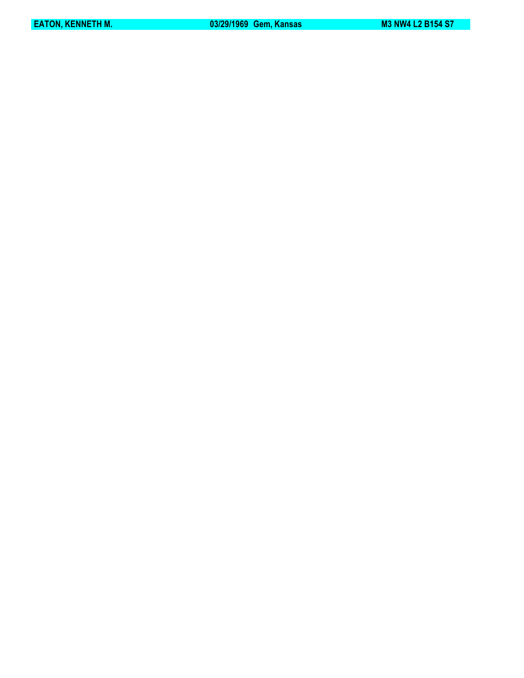**EATON, KENNETH M.** 03/29/1969 Gem, Kansas M3 NW4 L2 B154 S7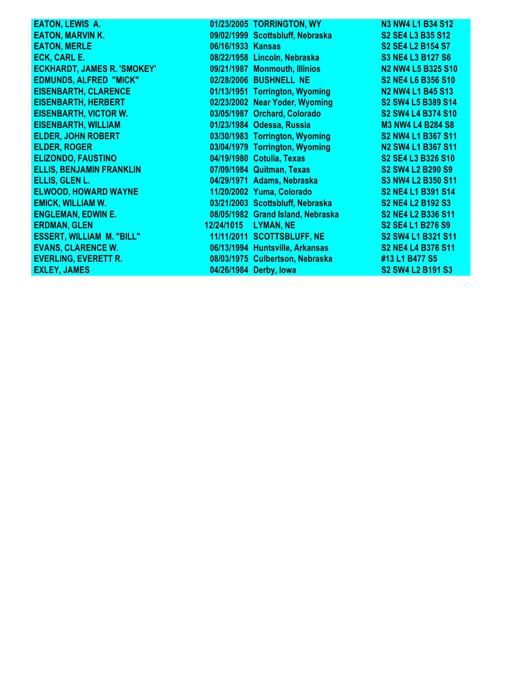| <b>EATON, LEWIS A.</b>             |                   | 01/23/2005 TORRINGTON, WY         | <b>N3 NW4 L1 B34 S12</b>                                                      |
|------------------------------------|-------------------|-----------------------------------|-------------------------------------------------------------------------------|
| <b>EATON, MARVIN K.</b>            |                   | 09/02/1999 Scottsbluff, Nebraska  | S2 SE4 L3 B35 S12                                                             |
| <b>EATON, MERLE</b>                | 06/16/1933 Kansas |                                   | S <sub>2</sub> SE <sub>4</sub> L <sub>2</sub> B <sub>154</sub> S <sub>7</sub> |
| <b>ECK, CARL E.</b>                |                   | 08/22/1958 Lincoln, Nebraska      | <b>S3 NE4 L3 B127 S6</b>                                                      |
| <b>ECKHARDT, JAMES R. 'SMOKEY'</b> |                   | 09/21/1987 Monmouth, Illinios     | N2 NW4 L5 B325 S10                                                            |
| <b>EDMUNDS, ALFRED "MICK"</b>      |                   | 02/28/2006 BUSHNELL NE            | S2 NE4 L6 B356 S10                                                            |
| <b>EISENBARTH, CLARENCE</b>        |                   | 01/13/1951 Torrington, Wyoming    | <b>N2 NW4 L1 B45 S13</b>                                                      |
| <b>EISENBARTH, HERBERT</b>         |                   | 02/23/2002 Near Yoder, Wyoming    | S2 SW4 L5 B389 S14                                                            |
| <b>EISENBARTH, VICTOR W.</b>       |                   | 03/05/1987 Orchard, Colorado      | S2 SW4 L4 B374 S10                                                            |
| <b>EISENBARTH, WILLIAM</b>         |                   | 01/23/1984 Odessa, Russia         | <b>M3 NW4 L4 B284 S8</b>                                                      |
| <b>ELDER, JOHN ROBERT</b>          |                   | 03/30/1983 Torrington, Wyoming    | S2 NW4 L1 B367 S11                                                            |
| <b>ELDER, ROGER</b>                |                   | 03/04/1979 Torrington, Wyoming    | <b>N2 SW4 L1 B367 S11</b>                                                     |
| <b>ELIZONDO, FAUSTINO</b>          |                   | 04/19/1980 Cotulia, Texas         | S2 SE4 L3 B326 S10                                                            |
| <b>ELLIS, BENJAMIN FRANKLIN</b>    |                   | 07/09/1984 Quitman, Texas         | S2 SW4 L2 B290 S9                                                             |
| ELLIS, GLEN L.                     |                   | 04/29/1971 Adams, Nebraska        | S3 NW4 L2 B350 S11                                                            |
| <b>ELWOOD, HOWARD WAYNE</b>        |                   | 11/20/2002 Yuma, Colorado         | S2 NE4 L1 B391 S14                                                            |
| <b>EMICK, WILLIAM W.</b>           |                   | 03/21/2003 Scottsbluff, Nebraska  | <b>S2 NE4 L2 B192 S3</b>                                                      |
| <b>ENGLEMAN, EDWIN E.</b>          |                   | 08/05/1982 Grand Island, Nebraska | S2 NE4 L2 B336 S11                                                            |
| <b>ERDMAN, GLEN</b>                | 12/24/1015        | LYMAN, NE                         | S2 SE4 L1 B276 S9                                                             |
| <b>ESSERT, WILLIAM M. "BILL"</b>   |                   | 11/11/2011 SCOTTSBLUFF, NE        | S2 SW4 L1 B321 S11                                                            |
| <b>EVANS, CLARENCE W.</b>          |                   | 06/13/1994 Huntsville, Arkansas   | S2 NE4 L4 B376 S11                                                            |
| <b>EVERLING, EVERETT R.</b>        |                   | 08/03/1975 Culbertson, Nebraska   | #13 L1 B477 S5                                                                |
| <b>EXLEY, JAMES</b>                |                   | 04/26/1984 Derby, lowa            | S2 SW4 L2 B191 S3                                                             |
|                                    |                   |                                   |                                                                               |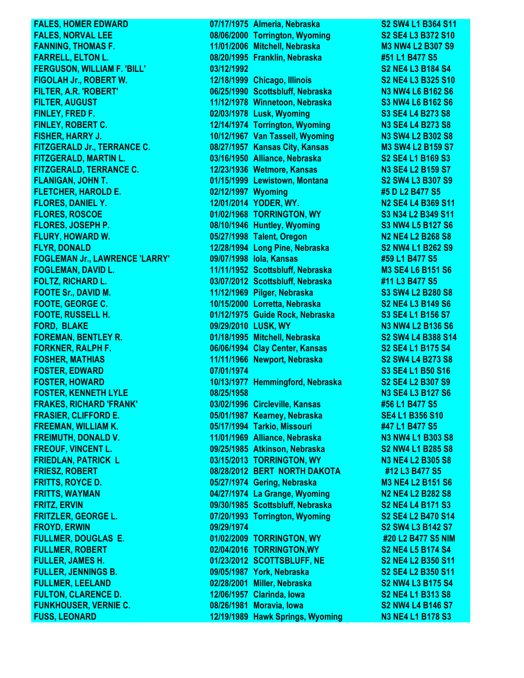**FUSS, LEONARD 12/19/1989 Hawk Springs, Wyoming N3 NE4 L1 B178 S3**

**FALES, HOMER EDWARD 07/17/1975 Almeria, Nebraska S2 SW4 L1 B364 S11 FALES, NORVAL LEE 08/06/2000 Torrington, Wyoming S2 SE4 L3 B372 S10 FANNING, THOMAS F. 11/01/2006 Mitchell, Nebraska M3 NW4 L2 B307 S9 FARRELL, ELTON L. 08/20/1995 Franklin, Nebraska #51 L1 B477 S5 FERGUSON, WILLIAM F. 'BILL' 03/12/1992 S2 NE4 L3 B184 S4 FIGOLAH Jr., ROBERT W. 12/18/1999 Chicago, Illinois S2 NE4 L3 B325 S10 FILTER, A.R. 'ROBERT' 06/25/1990 Scottsbluff, Nebraska N3 NW4 L6 B162 S6 FILTER, AUGUST 11/12/1978 Winnetoon, Nebraska S3 NW4 L6 B162 S6 FINLEY, FRED F. 02/03/1978 Lusk, Wyoming S3 SE4 L4 B273 S8 FINLEY, ROBERT C. 12/14/1974 Torrington, Wyoming N3 SE4 L4 B273 S8 FISHER, HARRY J. 10/12/1967 Van Tassell, Wyoming N3 SW4 L2 B302 S8 FITZGERALD Jr., TERRANCE C. 08/27/1957 Kansas City, Kansas M3 SW4 L2 B159 S7 FITZGERALD, MARTIN L. 03/16/1950 Alliance, Nebraska S2 SE4 L1 B169 S3 FITZGERALD, TERRANCE C. 12/23/1936 Wetmore, Kansas N3 SE4 L2 B159 S7 FLANIGAN, JOHN T. 01/15/1999 Lewistown, Montana S2 SW4 L3 B307 S9 FLETCHER, HAROLD E. 02/12/1997 Wyoming #5 D L2 B477 S5 FLORES, DANIEL Y. 12/01/2014 YODER, WY. N2 SE4 L4 B369 S11 FLORES, ROSCOE 01/02/1968 TORRINGTON, WY S3 N34 L2 B349 S11 FLORES, JOSEPH P. 08/10/1946 Huntley, Wyoming S3 NW4 L5 B127 S6 FLURY, HOWARD W. 05/27/1998 Talent, Oregon N2 NE4 L2 B268 S8 FLYR, DONALD 12/28/1994 Long Pine, Nebraska S2 NW4 L1 B262 S9 FOGLEMAN Jr., LAWRENCE 'LARRY' 09/07/1998 Iola, Kansas #59 L1 B477 S5 FOGLEMAN, DAVID L. 11/11/1952 Scottsbluff, Nebraska M3 SE4 L6 B151 S6 FOLTZ, RICHARD L. 03/07/2012 Scottsbluff, Nebraska #11 L3 B477 S5 FOOTE Sr., DAVID M.** 2008 2009 2012/1969 Pilger, Nebraska S3 SW4 L2 B280 S8 **FOOTE, GEORGE C. 10/15/2000 Lorretta, Nebraska S2 NE4 L3 B149 S6 FOOTE, RUSSELL H. 01/12/1975 Guide Rock, Nebraska S3 SE4 L1 B156 S7 FORD, BLAKE 09/29/2010 LUSK, WY N3 NW4 L2 B136 S6 FOREMAN, BENTLEY R. 01/18/1995 Mitchell, Nebraska S2 SW4 L4 B388 S14 FORKNER, RALPH F. 06/06/1994 Clay Center, Kansas S2 SE4 L1 B175 S4 FOSHER, MATHIAS 11/11/1966 Newport, Nebraska S2 SW4 L4 B273 S8 FOSTER, EDWARD 07/01/1974 S3 SE4 L1 B50 S16 FOSTER, HOWARD 10/13/1977 Hemmingford, Nebraska S2 SE4 L2 B307 S9 FOSTER, KENNETH LYLE 08/25/1958 N3 SE4 L3 B127 S6 FRAKES, RICHARD 'FRANK' 03/02/1996 Circleville, Kansas #56 L1 B477 S5 FRASIER, CLIFFORD E. 05/01/1987 Kearney, Nebraska SE4 L1 B356 S10 FREEMAN, WILLIAM K. 05/17/1994 Tarkio, Missouri #47 L1 B477 S5 FREIMUTH, DONALD V. 11/01/1969 Alliance, Nebraska N3 NW4 L1 B303 S8 FREOUF, VINCENT L. 09/25/1985 Atkinson, Nebraska S2 NW4 L1 B285 S8 FRIEDLAN, PATRICK L 03/15/2013 TORRINGTON, WY N3 NE4 L2 B305 S8 FRIESZ, ROBERT 08/28/2012 BERT NORTH DAKOTA #12 L3 B477 S5 FRITTS, ROYCE D. 05/27/1974 Gering, Nebraska M3 NE4 L2 B151 S6 FRITTS, WAYMAN 04/27/1974 La Grange, Wyoming N2 NE4 L2 B282 S8 FRITZ, ERVIN 09/30/1985 Scottsbluff, Nebraska S2 NE4 L4 B171 S3 FRITZLER, GEORGE L. 07/20/1993 Torrington, Wyoming S2 SE4 L2 B470 S14 FROYD, ERWIN 09/29/1974 S2 SW4 L3 B142 S7 FULLMER, DOUGLAS E. 01/02/2009 TORRINGTON, WY #20 L2 B477 S5 NIM FULLMER, ROBERT 02/04/2016 TORRINGTON,WY S2 NE4 L5 B174 S4 FULLER, JAMES H. 01/23/2012 SCOTTSBLUFF, NE S2 NE4 L2 B350 S11 FULLER, JENNINGS B. 09/05/1987 York, Nebraska S2 SE4 L2 B350 S11 FULLMER, LEELAND 02/28/2001 Miller, Nebraska S2 NW4 L3 B175 S4 FULTON, CLARENCE D. 12/06/1957 Clarinda, Iowa S2 NE4 L1 B313 S8 FUNKHOUSER, VERNIE C. 08/26/1981 Moravia, Iowa S2 NW4 L4 B146 S7**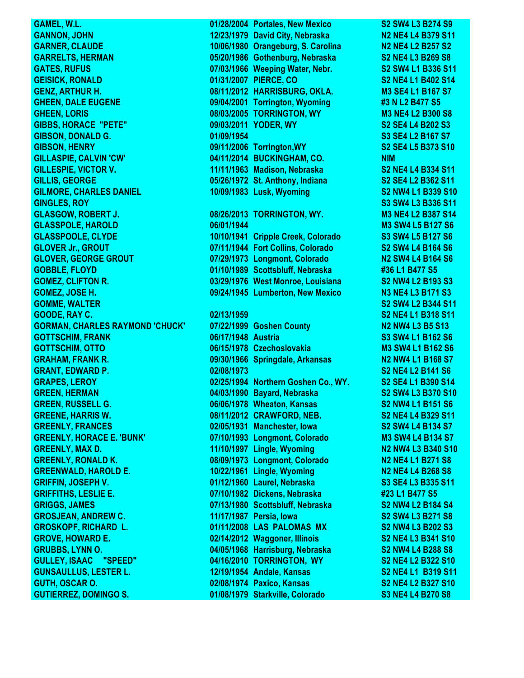**GANNON, JOHN 12/23/1979 David City, Nebraska N2 NE4 L4 B379 S11 GARNER, CLAUDE 10/06/1980 Orangeburg, S. Carolina N2 NE4 L2 B257 S2 GARRELTS, HERMAN 05/20/1986 Gothenburg, Nebraska S2 NE4 L3 B269 S8 GATES, RUFUS 07/03/1966 Weeping Water, Nebr. S2 SW4 L1 B336 S11 GEISICK, RONALD 01/31/2007 PIERCE, CO S2 NE4 L1 B402 S14 GENZ, ARTHUR H. 08/11/2012 HARRISBURG, OKLA. M3 SE4 L1 B167 S7 GHEEN, DALE EUGENE 09/04/2001 Torrington, Wyoming #3 N L2 B477 S5 GHEEN, LORIS 08/03/2005 TORRINGTON, WY M3 NE4 L2 B300 S8 GIBBS, HORACE "PETE" 09/03/2011 YODER, WY S2 SE4 L4 B202 S3 GIBSON, DONALD G. 01/09/1954 S3 SE4 L2 B167 S7 GIBSON, HENRY 09/11/2006 Torrington,WY S2 SE4 L5 B373 S10 GILLASPIE, CALVIN 'CW' 04/11/2014 BUCKINGHAM, CO. NIM GILLESPIE, VICTOR V. 11/11/1963 Madison, Nebraska S2 NE4 L4 B334 S11 GILLIS, GEORGE 05/26/1972 St. Anthony, Indiana S2 SE4 L2 B362 S11 GILMORE, CHARLES DANIEL 10/09/1983 Lusk, Wyoming S2 NW4 L1 B339 S10 GINGLES, ROY S3 SW4 L3 B336 S11 GLASGOW, ROBERT J. 08/26/2013 TORRINGTON, WY. M3 NE4 L2 B387 S14 GLASSPOLE, HAROLD 06/01/1944 M3 SW4 L5 B127 S6 GLASSPOOLE, CLYDE 10/10/1941 Cripple Creek, Colorado S3 SW4 L5 B127 S6 GLOVER Jr., GROUT 07/11/1944 Fort Collins, Colorado S2 SW4 L4 B164 S6 GLOVER, GEORGE GROUT 07/29/1973 Longmont, Colorado N2 SW4 L4 B164 S6 GOBBLE, FLOYD 01/10/1989 Scottsbluff, Nebraska #36 L1 B477 S5 GOMEZ, CLIFTON R. 03/29/1976 West Monroe, Louisiana S2 NW4 L2 B193 S3 GOMEZ, JOSE H. 09/24/1945 Lumberton, New Mexico N3 NE4 L3 B171 S3 GOMME, WALTER S2 SW4 L2 B344 S11 GOODE, RAY C. 02/13/1959 S2 NE4 L1 B318 S11 GORMAN, CHARLES RAYMOND 'CHUCK' 07/22/1999 Goshen County N2 NW4 L3 B5 S13 GOTTSCHIM, FRANK 06/17/1948 Austria S3 SW4 L1 B162 S6 GOTTSCHIM, OTTO 06/15/1978 Czechoslovakia M3 SW4 L1 B162 S6 GRAHAM, FRANK R. 09/30/1966 Springdale, Arkansas N2 NW4 L1 B168 S7 GRANT, EDWARD P. 02/08/1973 S2 NE4 L2 B141 S6 GRAPES, LEROY 02/25/1994 Northern Goshen Co., WY. S2 SE4 L1 B390 S14 GREEN, HERMAN 04/03/1990 Bayard, Nebraska S2 SW4 L3 B370 S10 GREEN, RUSSELL G. 06/06/1978 Wheaton, Kansas S2 NW4 L1 B151 S6 GREENE, HARRIS W. 08/11/2012 CRAWFORD, NEB. S2 NE4 L4 B329 S11 GREENLY, FRANCES 02/05/1931 Manchester, Iowa S2 SW4 L4 B134 S7 GREENLY, HORACE E. 'BUNK' 07/10/1993 Longmont, Colorado M3 SW4 L4 B134 S7 GREENLY, MAX D. 11/10/1997 Lingle, Wyoming N2 NW4 L3 B340 S10 GREENLY, RONALD K. 08/09/1973 Longmont, Colorado N2 NE4 L1 B271 S8 GREENWALD, HAROLD E. 10/22/1961 Lingle, Wyoming N2 NE4 L4 B268 S8 GRIFFIN, JOSEPH V. 01/12/1960 Laurel, Nebraska S3 SE4 L3 B335 S11 GRIFFITHS, LESLIE E. 07/10/1982 Dickens, Nebraska #23 L1 B477 S5 GRIGGS, JAMES 07/13/1980 Scottsbluff, Nebraska S2 NW4 L2 B184 S4 GROSJEAN, ANDREW C. 11/17/1987 Persia, Iowa S2 SW4 L3 B271 S8 GROSKOPF, RICHARD L. 01/11/2008 LAS PALOMAS MX S2 NW4 L3 B202 S3 GROVE, HOWARD E. 02/14/2012 Waggoner, Illinois S2 NE4 L3 B341 S10 GRUBBS, LYNN O. 04/05/1968 Harrisburg, Nebraska S2 NW4 L4 B288 S8 GULLEY, ISAAC "SPEED" 04/16/2010 TORRINGTON, WY S2 NE4 L2 B322 S10 GUNSAULLUS, LESTER L. 12/19/1954 Andale, Kansas S2 NE4 L1 B319 S11 GUTH, OSCAR O. 02/08/1974 Paxico, Kansas S2 NE4 L2 B327 S10 GUTIERREZ, DOMINGO S. 01/08/1979 Starkville, Colorado S3 NE4 L4 B270 S8**

**GAMEL, W.L. 01/28/2004 Portales, New Mexico S2 SW4 L3 B274 S9**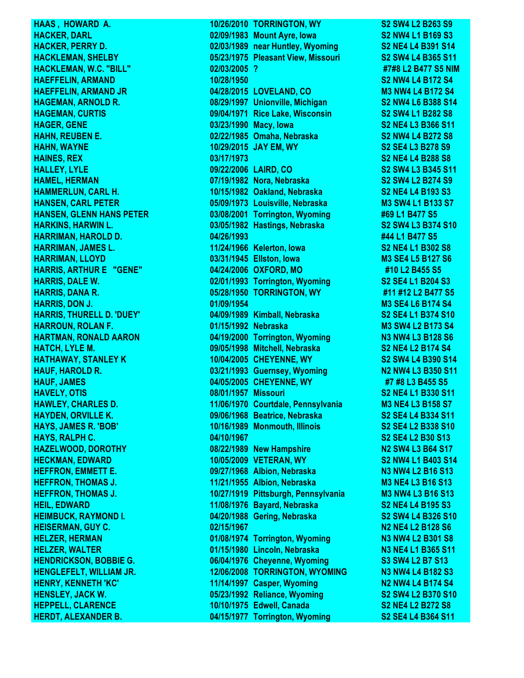**HERDT, ALEXANDER B. 04/15/1977 Torrington, Wyoming S2 SE4 L4 B364 S11**

**HAAS , HOWARD A. 10/26/2010 TORRINGTON, WY S2 SW4 L2 B263 S9 HACKER, DARL 02/09/1983 Mount Ayre, Iowa S2 NW4 L1 B169 S3 HACKER, PERRY D. 02/03/1989 near Huntley, Wyoming S2 NE4 L4 B391 S14 HACKLEMAN, SHELBY 05/23/1975 Pleasant View, Missouri S2 SW4 L4 B365 S11 HACKLEMAN, W.C. "BILL" 02/03/2005 ? #7#8 L2 B477 S5 NIM HAEFFELIN, ARMAND 10/28/1950 S2 NW4 L4 B172 S4 HAEFFELIN, ARMAND JR 04/28/2015 LOVELAND, CO M3 NW4 L4 B172 S4 HAGEMAN, ARNOLD R. 08/29/1997 Unionville, Michigan S2 NW4 L6 B388 S14 HAGEMAN, CURTIS 09/04/1971 Rice Lake, Wisconsin S2 SW4 L1 B282 S8 HAGER, GENE 03/23/1990 Macy, Iowa S2 NE4 L3 B366 S11 HAHN, REUBEN E. 02/22/1985 Omaha, Nebraska S2 NW4 L4 B272 S8 HAHN, WAYNE 10/29/2015 JAY EM, WY S2 SE4 L3 B278 S9 HAINES, REX 03/17/1973 S2 NE4 L4 B288 S8 HALLEY, LYLE 09/22/2006 LAIRD, CO S2 SW4 L3 B345 S11 HAMEL, HERMAN 07/19/1982 Nora, Nebraska S2 SW4 L2 B274 S9 HAMMERLUN, CARL H. 10/15/1982 Oakland, Nebraska S2 NE4 L4 B193 S3 HANSEN, CARL PETER 05/09/1973 Louisville, Nebraska M3 SW4 L1 B133 S7 HANSEN, GLENN HANS PETER 03/08/2001 Torrington, Wyoming #69 L1 B477 S5 HARKINS, HARWIN L. 03/05/1982 Hastings, Nebraska S2 SW4 L3 B374 S10 HARRIMAN, HAROLD D. 04/26/1993 #44 L1 B477 S5 HARRIMAN, JAMES L. 11/24/1966 Kelerton, Iowa S2 NE4 L1 B302 S8 HARRIMAN, LLOYD 03/31/1945 Ellston, Iowa M3 SE4 L5 B127 S6 HARRIS, ARTHUR E "GENE" 04/24/2006 OXFORD, MO #10 L2 B455 S5 HARRIS, DALE W. 02/01/1993 Torrington, Wyoming S2 SE4 L1 B204 S3 HARRIS, DANA R. 05/28/1950 TORRINGTON, WY #11 #12 L2 B477 S5 HARRIS, DON J. 01/09/1954 M3 SE4 L6 B174 S4 HARRIS, THURELL D. 'DUEY' 04/09/1989 Kimball, Nebraska S2 SE4 L1 B374 S10 HARROUN, ROLAN F. 01/15/1992 Nebraska M3 SW4 L2 B173 S4 HARTMAN, RONALD AARON 04/19/2000 Torrington, Wyoming N3 NW4 L3 B128 S6 HATCH, LYLE M. 09/05/1998 Mitchell, Nebraska S2 NE4 L2 B174 S4 HATHAWAY, STANLEY K 10/04/2005 CHEYENNE, WY S2 SW4 L4 B390 S14 HAUF, HAROLD R. 03/21/1993 Guernsey, Wyoming N2 NW4 L3 B350 S11 HAUF, JAMES 04/05/2005 CHEYENNE, WY #7 #8 L3 B455 S5 HAVELY, OTIS 08/01/1957 Missouri S2 NE4 L1 B330 S11 HAWLEY, CHARLES D. 11/06/1970 Courtdale, Pennsylvania M3 NE4 L3 B158 S7 HAYDEN, ORVILLE K. 09/06/1968 Beatrice, Nebraska S2 SE4 L4 B334 S11 HAYS, JAMES R. 'BOB' 10/16/1989 Monmouth, Illinois S2 SE4 L2 B338 S10 HAYS, RALPH C. 04/10/1967 S2 SE4 L2 B30 S13 HAZELWOOD, DOROTHY 08/22/1989 New Hampshire N2 SW4 L3 B64 S17 HECKMAN, EDWARD 10/05/2009 VETERAN, WY S2 NW4 L1 B403 S14 HEFFRON, EMMETT E. 09/27/1968 Albion, Nebraska N3 NW4 L2 B16 S13 HEFFRON, THOMAS J. 11/21/1955 Albion, Nebraska M3 NE4 L3 B16 S13 HEFFRON, THOMAS J. 10/27/1919 Pittsburgh, Pennsylvania M3 NW4 L3 B16 S13 HEIL, EDWARD 11/08/1976 Bayard, Nebraska S2 NE4 L4 B195 S3 HEIMBUCK, RAYMOND I. 04/20/1988 Gering, Nebraska S2 SW4 L4 B326 S10 HEISERMAN, GUY C. 02/15/1967 N2 NE4 L2 B128 S6 HELZER, HERMAN 01/08/1974 Torrington, Wyoming N3 NW4 L2 B301 S8 HELZER, WALTER 01/15/1980 Lincoln, Nebraska N3 NE4 L1 B365 S11 HENDRICKSON, BOBBIE G. 06/04/1976 Cheyenne, Wyoming S3 SW4 L2 B7 S13 HENGLEFELT, WILLIAM JR. 12/06/2008 TORRINGTON, WYOMING N3 NW4 L4 B182 S3 HENRY, KENNETH 'KC' 11/14/1997 Casper, Wyoming N2 NW4 L4 B174 S4 HENSLEY, JACK W. 05/23/1992 Reliance, Wyoming S2 SW4 L2 B370 S10 HEPPELL, CLARENCE 10/10/1975 Edwell, Canada S2 NE4 L2 B272 S8**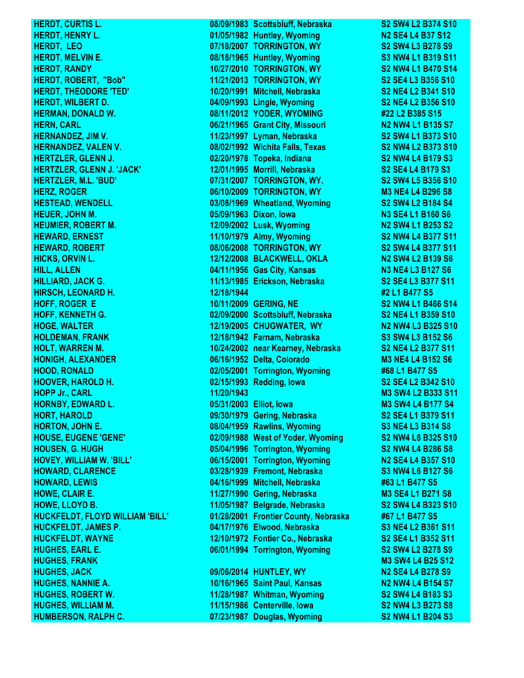**HERDT, CURTIS L. 08/09/1983 Scottsbluff, Nebraska S2 SW4 L2 B374 S10** 

**HERDT, HENRY L. 01/05/1982 Huntley, Wyoming N2 SE4 L4 B37 S12 HERDT, LEO 07/18/2007 TORRINGTON, WY S2 SW4 L3 B278 S9 HERDT, MELVIN E. 08/18/1965 Huntley, Wyoming S3 NW4 L1 B319 S11 HERDT, RANDY 10/27/2010 TORRINGTON, WY S2 NW4 L1 B470 S14 HERDT, ROBERT, "Bob" 11/21/2013 TORRINGTON, WY S2 SE4 L3 B356 S10 HERDT, THEODORE 'TED' 10/20/1991 Mitchell, Nebraska S2 NE4 L2 B341 S10 HERDT, WILBERT D. 04/09/1993 Lingle, Wyoming S2 NE4 L2 B356 S10 HERMAN, DONALD W. 08/11/2012 YODER, WYOMING #22 L2 B385 S15 HERN, CARL CARL COMPUTER COMPUTER SIZE OF A SET OF A SET OF A SET OF A SET OF A SET OF A SET OF A SET OF A SET OF A SET OF A SET OF A SET OF A SET OF A SET OF A SET OF A SET OF A SET OF A SET OF A SET OF A SET OF A SET OF HERNANDEZ, JIM V. 11/23/1997 Lyman, Nebraska S2 SW4 L1 B373 S10 HERNANDEZ, VALEN V. 08/02/1992 Wichita Falls, Texas S2 NW4 L2 B373 S10 HERTZLER, GLENN J. 02/20/1978 Topeka, Indiana S2 NW4 L4 B179 S3 HERTZLER, GLENN J. 'JACK' 12/01/1995 Morrill, Nebraska S2 SE4 L4 B179 S3 HERTZLER, M.L. 'BUD' 07/31/2007 TORRINGTON, WY. S2 SW4 L5 B356 S10 HERZ, ROGER 06/10/2009 TORRINGTON, WY M3 NE4 L4 B296 S8 HESTEAD, WENDELL 03/08/1969 Wheatland, Wyoming S2 SW4 L2 B184 S4 HEUER, JOHN M. 05/09/1963 Dixon, Iowa N3 SE4 L1 B160 S6 HEUMIER, ROBERT M. 12/09/2002 Lusk, Wyoming N2 SW4 L1 B253 S2 HEWARD, ERNEST 11/10/1979 Almy, Wyoming S2 NW4 L4 B377 S11 HEWARD, ROBERT 08/06/2008 TORRINGTON, WY S2 SW4 L4 B377 S11 HICKS, ORVIN L. 12/12/2008 BLACKWELL, OKLA N2 SW4 L2 B139 S6 HILL, ALLEN 04/11/1956 Gas City, Kansas N3 NE4 L3 B127 S6 HILLIARD, JACK G. 11/13/1985 Erickson, Nebraska S2 SE4 L3 B377 S11 HIRSCH, LEONARD H. 12/18/1944 #2 L1 B477 S5 HOFF, ROGER E 10/11/2009 GERING, NE S2 NW4 L1 B466 S14 HOFF, KENNETH G. 02/09/2000 Scottsbluff, Nebraska S2 NE4 L1 B359 S10 HOGE, WALTER 12/19/2005 CHUGWATER, WY N2 NW4 L3 B325 S10 HOLDEMAN, FRANK 12/18/1942 Farnam, Nebraska S3 SW4 L3 B152 S6 HOLT, WARREN M. 10/24/2002 near Kearney, Nebraska S2 NE4 L2 B377 S11 HONIGH, ALEXANDER 06/16/1952 Delta, Colorado M3 NE4 L4 B152 S6 HOOD, RONALD 02/05/2001 Torrington, Wyoming #68 L1 B477 S5 HOOVER, HAROLD H. 02/15/1993 Redding, Iowa S2 SE4 L2 B342 S10 HOPP Jr., CARL 11/20/1943 M3 SW4 L2 B333 S11 HORNBY, EDWARD L. 05/31/2003 Elliot, Iowa M3 SW4 L4 B177 S4 HORT, HAROLD 09/30/1979 Gering, Nebraska S2 SE4 L1 B379 S11 HORTON, JOHN E. 08/04/1959 Rawlins, Wyoming S3 NE4 L3 B314 S8 HOUSE, EUGENE 'GENE' 02/09/1988 West of Yoder, Wyoming S2 NW4 L6 B325 S10 HOUSEN, G. HUGH 05/04/1996 Torrington, Wyoming S2 NW4 L4 B286 S8 HOVEY, WILLIAM W. 'BILL' 06/15/2001 Torrington, Wyoming N2 SE4 L4 B357 S10 HOWARD, CLARENCE 03/28/1939 Fremont, Nebraska S3 NW4 L6 B127 S6 HOWARD, LEWIS 04/16/1999 Mitchell, Nebraska #63 L1 B477 S5 HOWE, CLAIR E. 11/27/1990 Gering, Nebraska M3 SE4 L1 B271 S8 HOWE, LLOYD B. 11/05/1987 Belgrade, Nebraska S2 SW4 L4 B323 S10 HUCKFELDT, FLOYD WILLIAM 'BILL' 01/28/2001 Frontier County, Nebraska #67 L1 B477 S5 HUCKFELDT, JAMES P. 04/17/1976 Elwood, Nebraska S3 NE4 L2 B361 S11 HUCKFELDT, WAYNE 12/10/1972 Fontier Co., Nebraska S2 SE4 L1 B352 S11 HUGHES, EARL E. 06/01/1994 Torrington, Wyoming S2 SW4 L2 B278 S9 HUGHES, FRANK M3 SW4 L4 B25 S12 HUGHES, JACK 09/06/2014 HUNTLEY, WY N2 SE4 L4 B278 S9 HUGHES, NANNIE A. 10/16/1965 Saint Paul, Kansas N2 NW4 L4 B154 S7 HUGHES, ROBERT W. 11/28/1987 Whitman, Wyoming S2 SW4 L4 B183 S3 HUGHES, WILLIAM M. 11/15/1986 Centerville, Iowa S2 NW4 L3 B273 S8 HUMBERSON, RALPH C. 07/23/1987 Douglas, Wyoming S2 NW4 L1 B204 S3**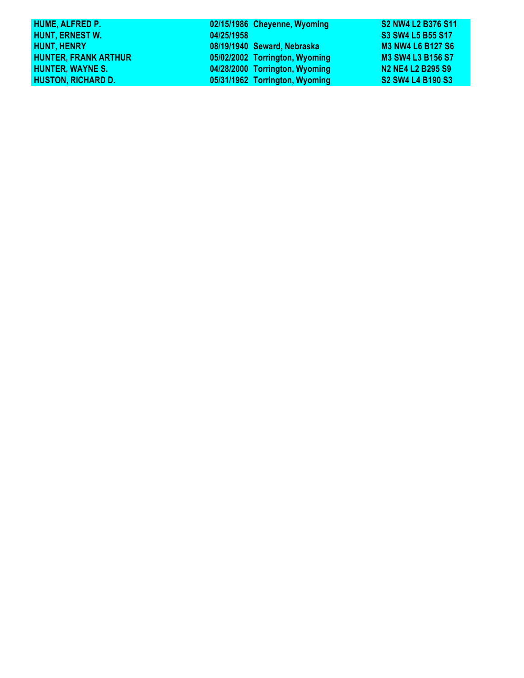| 02/15/1986 Cheyenne, Wyoming   | S2 NW4 L2 B376 S11                                                            |
|--------------------------------|-------------------------------------------------------------------------------|
| 04/25/1958                     | S3 SW4 L5 B55 S17                                                             |
| 08/19/1940 Seward, Nebraska    | <b>M3 NW4 L6 B127 S6</b>                                                      |
| 05/02/2002 Torrington, Wyoming | <b>M3 SW4 L3 B156 S7</b>                                                      |
| 04/28/2000 Torrington, Wyoming | N <sub>2</sub> N <sub>E4</sub> L <sub>2</sub> B <sub>295</sub> S <sub>9</sub> |
| 05/31/1962 Torrington, Wyoming | S2 SW4 L4 B190 S3                                                             |
|                                |                                                                               |

I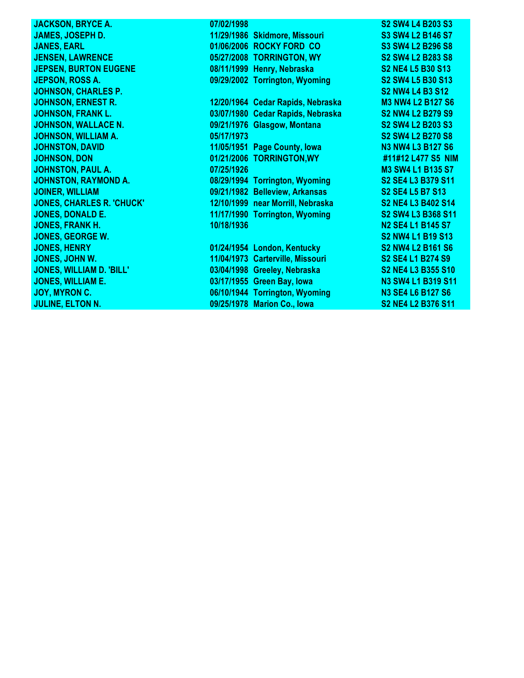| <b>JACKSON, BRYCE A.</b>         | 07/02/1998 |                                   | S2 SW4 L4 B203 S3                                                            |
|----------------------------------|------------|-----------------------------------|------------------------------------------------------------------------------|
| <b>JAMES, JOSEPH D.</b>          |            | 11/29/1986 Skidmore, Missouri     | S3 SW4 L2 B146 S7                                                            |
| <b>JANES, EARL</b>               |            | 01/06/2006 ROCKY FORD CO          | S3 SW4 L2 B296 S8                                                            |
| <b>JENSEN, LAWRENCE</b>          |            | 05/27/2008 TORRINGTON, WY         | <b>S2 SW4 L2 B283 S8</b>                                                     |
| <b>JEPSEN, BURTON EUGENE</b>     |            | 08/11/1999 Henry, Nebraska        | S2 NE4 L5 B30 S13                                                            |
| <b>JEPSON, ROSS A.</b>           |            | 09/29/2002 Torrington, Wyoming    | S2 SW4 L5 B30 S13                                                            |
| <b>JOHNSON, CHARLES P.</b>       |            |                                   | <b>S2 NW4 L4 B3 S12</b>                                                      |
| <b>JOHNSON, ERNEST R.</b>        |            | 12/20/1964 Cedar Rapids, Nebraska | <b>M3 NW4 L2 B127 S6</b>                                                     |
| <b>JOHNSON, FRANK L.</b>         |            | 03/07/1980 Cedar Rapids, Nebraska | <b>S2 NW4 L2 B279 S9</b>                                                     |
| <b>JOHNSON, WALLACE N.</b>       |            | 09/21/1976 Glasgow, Montana       | S2 SW4 L2 B203 S3                                                            |
| <b>JOHNSON, WILLIAM A.</b>       | 05/17/1973 |                                   | <b>S2 SW4 L2 B270 S8</b>                                                     |
| <b>JOHNSTON, DAVID</b>           |            | 11/05/1951 Page County, lowa      | <b>N3 NW4 L3 B127 S6</b>                                                     |
| <b>JOHNSON, DON</b>              |            | 01/21/2006 TORRINGTON, WY         | #11#12 L477 S5 NIM                                                           |
| <b>JOHNSTON, PAUL A.</b>         | 07/25/1926 |                                   | <b>M3 SW4 L1 B135 S7</b>                                                     |
| <b>JOHNSTON, RAYMOND A.</b>      |            | 08/29/1994 Torrington, Wyoming    | S2 SE4 L3 B379 S11                                                           |
| <b>JOINER, WILLIAM</b>           |            | 09/21/1982 Belleview, Arkansas    | S <sub>2</sub> SE <sub>4</sub> L <sub>5</sub> B <sub>7</sub> S <sub>13</sub> |
| <b>JONES, CHARLES R. 'CHUCK'</b> |            | 12/10/1999 near Morrill, Nebraska | <b>S2 NE4 L3 B402 S14</b>                                                    |
| <b>JONES, DONALD E.</b>          |            | 11/17/1990 Torrington, Wyoming    | S2 SW4 L3 B368 S11                                                           |
| <b>JONES, FRANK H.</b>           | 10/18/1936 |                                   | N <sub>2</sub> SE4 L <sub>1</sub> B <sub>145</sub> S <sub>7</sub>            |
| <b>JONES, GEORGE W.</b>          |            |                                   | S2 NW4 L1 B19 S13                                                            |
| <b>JONES, HENRY</b>              |            | 01/24/1954 London, Kentucky       | <b>S2 NW4 L2 B161 S6</b>                                                     |
| JONES, JOHN W.                   |            | 11/04/1973 Carterville, Missouri  | S2 SE4 L1 B274 S9                                                            |
| JONES, WILLIAM D. 'BILL'         |            | 03/04/1998 Greeley, Nebraska      | S2 NE4 L3 B355 S10                                                           |
| <b>JONES, WILLIAM E.</b>         |            | 03/17/1955 Green Bay, lowa        | N3 SW4 L1 B319 S11                                                           |
| JOY, MYRON C.                    |            | 06/10/1944 Torrington, Wyoming    | <b>N3 SE4 L6 B127 S6</b>                                                     |
| <b>JULINE, ELTON N.</b>          |            | 09/25/1978 Marion Co., Iowa       | S2 NE4 L2 B376 S11                                                           |
|                                  |            |                                   |                                                                              |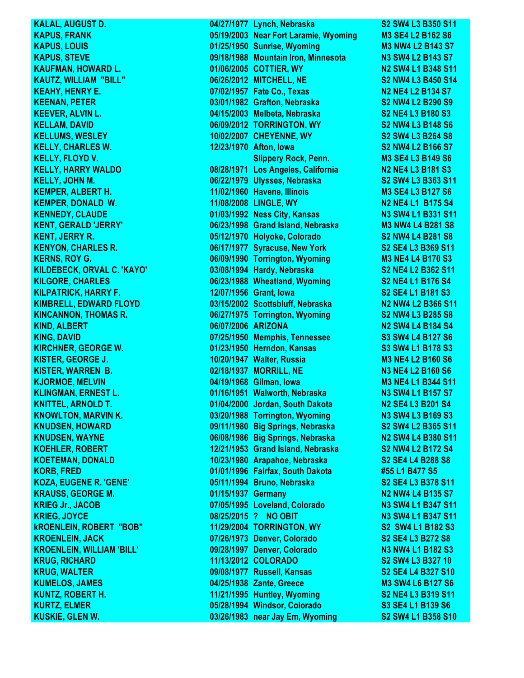**KAPUS, LOUIS 12.000 MILLION CONTRACT 12.000 MILLION CONTRACT 12.000 MILLION CONTRACT 12.000 MILLION CONTRACT 12.000 MILLION CONTRACT 12.000 MILLION CONTRACT 12.000 MILLION CONTRACT 12.000 MILLION CONTRACT 12.000 MILLION** 

**KALAL, AUGUST D. 04/27/1977 Lynch, Nebraska S2 SW4 L3 B350 S11 KAPUS, FRANK 05/19/2003 Near Fort Laramie, Wyoming M3 SE4 L2 B162 S6 KAPUS, STEVE 09/18/1988 Mountain Iron, Minnesota N3 SW4 L2 B143 S7 KAUFMAN, HOWARD L. 01/06/2005 COTTIER, WY N2 SW4 L1 B348 S11 KAUTZ, WILLIAM "BILL" 06/26/2012 MITCHELL, NE S2 NW4 L3 B450 S14 KEAHY, HENRY E. 07/02/1957 Fate Co., Texas N2 NE4 L2 B134 S7 KEENAN, PETER 03/01/1982 Grafton, Nebraska S2 NW4 L2 B290 S9 KEEVER, ALVIN L. 04/15/2003 Melbeta, Nebraska S2 NE4 L3 B180 S3 KELLAM, DAVID 06/09/2012 TORRINGTON, WY S2 NW4 L3 B148 S6 KELLUMS, WESLEY 10/02/2007 CHEYENNE, WY S2 SW4 L3 B264 S8 KELLY, CHARLES W. 12/23/1970 Afton, Iowa S2 NW4 L2 B166 S7 KELLY, FLOYD V. Slippery Rock, Penn. M3 SE4 L3 B149 S6 KELLY, HARRY WALDO 08/28/1971 Los Angeles, California N2 NE4 L3 B181 S3 KELLY, JOHN M. 06/22/1979 Ulysses, Nebraska S2 SW4 L3 B363 S11 KEMPER, ALBERT H. 11/02/1960 Havene, Illinois M3 SE4 L3 B127 S6 KEMPER, DONALD W. 11/08/2008 LINGLE, WY N2 NE4 L1 B175 S4 KENNEDY, CLAUDE 01/03/1992 Ness City, Kansas N3 SW4 L1 B331 S11 KENT, GERALD 'JERRY' 06/23/1998 Grand Island, Nebraska M3 NW4 L4 B281 S8 KENT, JERRY R. 05/12/1970 Holyoke, Colorado S2 NW4 L4 B281 S8 KENYON, CHARLES R. 06/17/1977 Syracuse, New York S2 SE4 L3 B369 S11 KERNS, ROY G. 06/09/1990 Torrington, Wyoming M3 NE4 L4 B170 S3 KILDEBECK, ORVAL C. 'KAYO' 03/08/1994 Hardy, Nebraska S2 NE4 L2 B362 S11 KILGORE, CHARLES 06/23/1988 Wheatland, Wyoming S2 NE4 L1 B176 S4 KILPATRICK, HARRY F. 12/07/1956 Grant, Iowa S2 SE4 L1 B181 S3 KIMBRELL, EDWARD FLOYD 03/15/2002 Scottsbluff, Nebraska N2 NW4 L2 B366 S11 KINCANNON, THOMAS R. 06/27/1975 Torrington, Wyoming S2 NW4 L3 B285 S8 KIND, ALBERT 06/07/2006 ARIZONA N2 SW4 L4 B184 S4 KING, DAVID 07/25/1950 Memphis, Tennessee S3 SW4 L4 B127 S6 KIRCHNER, GEORGE W. 01/23/1950 Herndon, Kansas S3 SW4 L1 B178 S3 KISTER, GEORGE J. 10/20/1947 Walter, Russia M3 NE4 L2 B160 S6 KISTER, WARREN B. 02/18/1937 MORRILL, NE N3 NE4 L2 B160 S6 KJORMOE, MELVIN 04/19/1968 Gilman, Iowa M3 NE4 L1 B344 S11 KLINGMAN, ERNEST L. 01/16/1951 Walworth, Nebraska N3 SW4 L1 B157 S7 KNITTEL, ARNOLD T. 01/04/2000 Jordan, South Dakota N2 SE4 L3 B201 S4 KNOWLTON, MARVIN K. 03/20/1988 Torrington, Wyoming N3 SW4 L3 B169 S3 KNUDSEN, HOWARD 09/11/1980 Big Springs, Nebraska S2 SW4 L2 B365 S11 KNUDSEN, WAYNE 06/08/1986 Big Springs, Nebraska N2 SW4 L4 B380 S11 KOEHLER, ROBERT 12/21/1953 Grand Island, Nebraska S2 NW4 L2 B172 S4 KOETEMAN, DONALD 10/23/1980 Arapahoe, Nebraska S2 SE4 L4 B288 S8 KORB, FRED 01/01/1996 Fairfax, South Dakota #55 L1 B477 S5 KOZA, EUGENE R. 'GENE' 05/11/1994 Bruno, Nebraska S2 SE4 L3 B378 S11 KRAUSS, GEORGE M. 01/15/1937 Germany N2 NW4 L4 B135 S7 KRIEG Jr., JACOB 07/05/1995 Loveland, Colorado N3 SW4 L1 B347 S11 KRIEG, JOYCE 08/25/2015 ? NO OBIT N3 SW4 L1 B347 S11 kROENLEIN, ROBERT "BOB" 11/29/2004 TORRINGTON, WY S2 SW4 L1 B182 S3 KROENLEIN, JACK 07/26/1973 Denver, Colorado S2 SE4 L3 B272 S8 KROENLEIN, WILLIAM 'BILL' 09/28/1997 Denver, Colorado N3 NW4 L1 B182 S3 KRUG, RICHARD 11/13/2012 COLORADO S2 SW4 L3 B327 10 KRUG, WALTER 09/08/1977 Russell, Kansas S2 SE4 L4 B327 S10 KUMELOS, JAMES 04/25/1938 Zante, Greece M3 SW4 L6 B127 S6 KUNTZ, ROBERT H. 11/21/1995 Huntley, Wyoming S2 NE4 L3 B319 S11 KURTZ, ELMER 05/28/1994 Windsor, Colorado S3 SE4 L1 B139 S6 KUSKIE, GLEN W. 03/26/1983 near Jay Em, Wyoming S2 SW4 L1 B358 S10**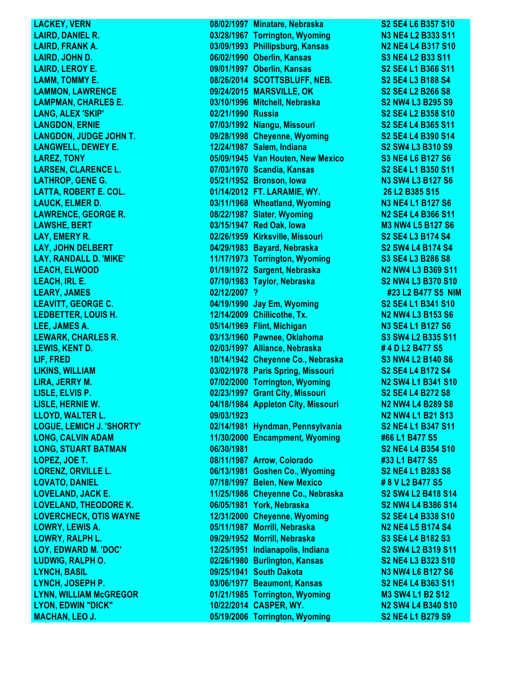**LACKEY, VERN 08/02/1997 Minatare, Nebraska S2 SE4 L6 B357 S10 LAIRD, DANIEL R. 03/28/1967 Torrington, Wyoming N3 NE4 L2 B333 S11 LAIRD, FRANK A. 03/09/1993 Phillipsburg, Kansas N2 NE4 L4 B317 S10 LAIRD, JOHN D. 06/02/1990 Oberlin, Kansas S3 NE4 L2 B33 S11 LAIRD, LEROY E. 09/01/1997 Oberlin, Kansas S2 SE4 L1 B366 S11 LAMM, TOMMY E. 08/26/2014 SCOTTSBLUFF, NEB. S2 SE4 L3 B188 S4 LAMMON, LAWRENCE 09/24/2015 MARSVILLE, OK S2 SE4 L2 B266 S8 LAMPMAN, CHARLES E. 03/10/1996 Mitchell, Nebraska S2 NW4 L3 B295 S9 LANG, ALEX 'SKIP' 02/21/1990 Russia S2 SE4 L2 B358 S10 LANGDON, ERNIE 07/03/1992 Niangu, Missouri S2 SE4 L4 B365 S11 LANGDON, JUDGE JOHN T. 09/28/1998 Cheyenne, Wyoming S2 SE4 L4 B390 S14 LANGWELL, DEWEY E. 12/24/1987 Salem, Indiana S2 SW4 L3 B310 S9 LAREZ, TONY 05/09/1945 Van Houten, New Mexico S3 NE4 L6 B127 S6 LARSEN, CLARENCE L. 07/03/1970 Scandia, Kansas S2 SE4 L1 B350 S11 LATHROP, GENE G. 05/21/1952 Bronson, Iowa N3 SW4 L3 B127 S6 LATTA, ROBERT E. COL. 01/14/2012 FT. LARAMIE, WY. 26 L2 B385 S15 LAUCK, ELMER D. 2008 CONTROLLY AND ACCOUNT OF A 13 NE4 L1 B127 S6 LAWRENCE, GEORGE R. 08/22/1987 Slater, Wyoming N2 SE4 L4 B366 S11 LAWSHE, BERT 03/15/1947 Red Oak, Iowa M3 NW4 L5 B127 S6 LAY, EMERY R. 02/26/1959 Kirksville, Missouri S2 SE4 L3 B174 S4 LAY, JOHN DELBERT 04/29/1983 Bayard, Nebraska S2 SW4 L4 B174 S4 LAY, RANDALL D. 'MIKE' 11/17/1973 Torrington, Wyoming S3 SE4 L3 B286 S8 LEACH, ELWOOD 01/19/1972 Sargent, Nebraska N2 NW4 L3 B369 S11 LEACH, IRL E. 07/10/1983 Taylor, Nebraska S2 NW4 L3 B370 S10 LEARY, JAMES 02/12/2007 ? #23 L2 B477 S5 NIM LEAVITT, GEORGE C. 04/19/1990 Jay Em, Wyoming S2 SE4 L1 B341 S10 LEDBETTER, LOUIS H. 12/14/2009** Chillicothe, Tx. **N2 NW4 L3 B153 S6 LEE, JAMES A. 05/14/1969 Flint, Michigan N3 SE4 L1 B127 S6 LEWARK, CHARLES R. 03/13/1960 Pawnee, Oklahoma S3 SW4 L2 B335 S11 LEWIS, KENT D. 02/03/1997 Alliance, Nebraska # 4 D L2 B477 S5 LIF, FRED 10/14/1942 Cheyenne Co., Nebraska S3 NW4 L2 B140 S6 LIKINS, WILLIAM 03/02/1978 Paris Spring, Missouri S2 SE4 L4 B172 S4 LIRA, JERRY M. 07/02/2000 Torrington, Wyoming N2 SW4 L1 B341 S10 LISLE, ELVIS P. 02/23/1997 Grant City, Missouri S2 SE4 L4 B272 S8 LISLE, HERNIE W. 04/18/1984 Appleton City, Missouri N2 NW4 L4 B289 S8 LLOYD, WALTER L. 09/03/1923 N2 NW4 L1 B21 S13 LOGUE, LEMICH J. 'SHORTY' 02/14/1981 Hyndman, Pennsylvania S2 NE4 L1 B347 S11 LONG, CALVIN ADAM 11/30/2000 Encampment, Wyoming #66 L1 B477 S5 LONG, STUART BATMAN 06/30/1981 S2 NE4 L4 B354 S10 LOPEZ, JOE T. 08/11/1987 Arrow, Colorado #33 L1 B477 S5 LORENZ, ORVILLE L. 06/13/1981 Goshen Co., Wyoming S2 NE4 L1 B283 S8 LOVATO, DANIEL 07/18/1997 Belen, New Mexico # 8 V L2 B477 S5 LOVELAND, JACK E. 11/25/1986 Cheyenne Co., Nebraska S2 SW4 L2 B418 S14 LOVELAND, THEODORE K. 06/05/1981 York, Nebraska S2 NW4 L4 B386 S14 LOVERCHECK, OTIS WAYNE 12/31/2000 Cheyenne, Wyoming S2 SE4 L4 B338 S10 LOWRY, LEWIS A. 05/11/1987 Morrill, Nebraska N2 NE4 L5 B174 S4 LOWRY, RALPH L. 09/29/1952 Morrill, Nebraska S3 SE4 L4 B182 S3 LOY, EDWARD M. 'DOC' 12/25/1951 Indianapolis, Indiana S2 SW4 L2 B319 S11 LUDWIG, RALPH O. 02/26/1980 Burlington, Kansas S2 NE4 L3 B323 S10 LYNCH, BASIL 09/25/1941 South Dakota N3 NW4 L6 B127 S6 LYNCH, JOSEPH P. 03/06/1977 Beaumont, Kansas S2 NE4 L4 B363 S11 LYNN, WILLIAM McGREGOR 01/21/1985 Torrington, Wyoming M3 SW4 L1 B2 S12 LYON, EDWIN "DICK" 10/22/2014 CASPER, WY. N2 SW4 L4 B340 S10 MACHAN, LEO J. 05/19/2006 Torrington, Wyoming S2 NE4 L1 B279 S9**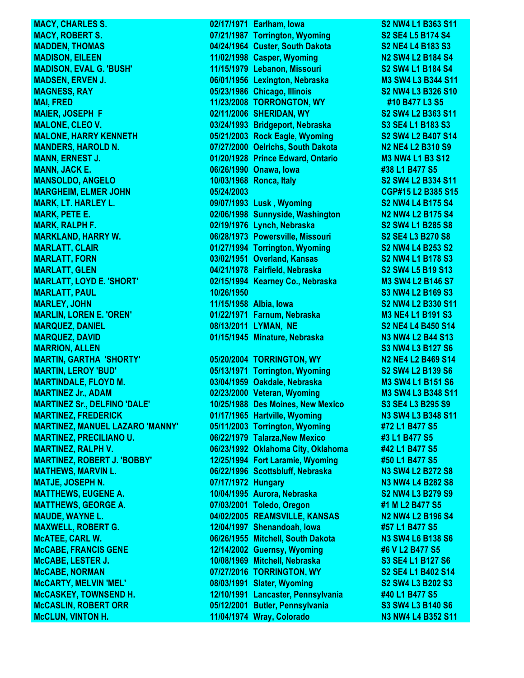**McCLUN, VINTON H. 11/04/1974 Wray, Colorado N3 NW4 L4 B352 S11**

**MACY, CHARLES S.** 02/17/1971 Earlham, Iowa S2 NW4 L1 B363 S11 **MACY, ROBERT S. 07/21/1987 Torrington, Wyoming S2 SE4 L5 B174 S4 MADDEN, THOMAS 04/24/1964 Custer, South Dakota S2 NE4 L4 B183 S3 MADISON, EILEEN 11/02/1998 Casper, Wyoming N2 SW4 L2 B184 S4 MADISON, EVAL G. 'BUSH' 11/15/1979 Lebanon, Missouri S2 SW4 L1 B184 S4 MADSEN, ERVEN J. 06/01/1956 Lexington, Nebraska M3 SW4 L3 B344 S11 MAGNESS, RAY 05/23/1986 Chicago, Illinois S2 NW4 L3 B326 S10 MAI, FRED 11/23/2008 TORRONGTON, WY #10 B477 L3 S5 MAIER, JOSEPH F 02/11/2006 SHERIDAN, WY S2 SW4 L2 B363 S11 MALONE, CLEO V. 03/24/1993 Bridgeport, Nebraska S3 SE4 L1 B183 S3 MALONE, HARRY KENNETH 05/21/2003 Rock Eagle, Wyoming S2 SW4 L2 B407 S14 MANDERS, HAROLD N. 07/27/2000 Oelrichs, South Dakota N2 NE4 L2 B310 S9 MANN, ERNEST J. 01/20/1928 Prince Edward, Ontario M3 NW4 L1 B3 S12 MANN, JACK E. 06/26/1990 Onawa, Iowa #38 L1 B477 S5 MANSOLDO, ANGELO 10/03/1968 Ronca, Italy S2 SW4 L2 B334 S11 MARGHEIM, ELMER JOHN 05/24/2003 CGP#15 L2 B385 S15 MARK, LT. HARLEY L. 09/07/1993 Lusk , Wyoming S2 NW4 L4 B175 S4 MARK, PETE E. 02/06/1998 Sunnyside, Washington N2 NW4 L2 B175 S4 MARK, RALPH F. 02/19/1976 Lynch, Nebraska S2 SW4 L1 B285 S8 MARKLAND, HARRY W. 06/28/1973 Powersville, Missouri S2 SE4 L3 B270 S8 MARLATT, CLAIR 01/27/1994 Torrington, Wyoming S2 NW4 L4 B253 S2 MARLATT, FORN 03/02/1951 Overland, Kansas S2 NW4 L1 B178 S3 MARLATT, GLEN 04/21/1978 Fairfield, Nebraska S2 SW4 L5 B19 S13 MARLATT, LOYD E. 'SHORT' 02/15/1994 Kearney Co., Nebraska M3 SW4 L2 B146 S7 MARLATT, PAUL 10/26/1950 S3 NW4 L2 B169 S3 MARLEY, JOHN 11/15/1958 Albia, Iowa S2 NW4 L2 B330 S11 MARLIN, LOREN E. 'OREN' 01/22/1971 Farnum, Nebraska M3 NE4 L1 B191 S3 MARQUEZ, DANIEL 08/13/2011 LYMAN, NE S2 NE4 L4 B450 S14 MARQUEZ, DAVID 01/15/1945 Minature, Nebraska N3 NW4 L2 B44 S13 MARRION, ALLEN S3 NW4 L3 B127 S6 MARTIN, GARTHA 'SHORTY' 05/20/2004 TORRINGTON, WY N2 NE4 L2 B469 S14 MARTIN, LEROY 'BUD' 05/13/1971 Torrington, Wyoming S2 SW4 L2 B139 S6 MARTINDALE, FLOYD M. 03/04/1959 Oakdale, Nebraska M3 SW4 L1 B151 S6 MARTINEZ Jr., ADAM 02/23/2000 Veteran, Wyoming M3 SW4 L3 B348 S11 MARTINEZ Sr., DELFINO 'DALE' 10/25/1988 Des Moines, New Mexico S3 SE4 L3 B295 S9 MARTINEZ, FREDERICK 01/17/1965 Hartville, Wyoming N3 SW4 L3 B348 S11 MARTINEZ, MANUEL LAZARO 'MANNY' 05/11/2003 Torrington, Wyoming #72 L1 B477 S5 MARTINEZ, PRECILIANO U. 06/22/1979 Talarza,New Mexico #3 L1 B477 S5 MARTINEZ, RALPH V. 06/23/1992 Oklahoma City, Oklahoma #42 L1 B477 S5 MARTINEZ, ROBERT J. 'BOBBY' 12/25/1994 Fort Laramie, Wyoming #50 L1 B477 S5 MATHEWS, MARVIN L. 06/22/1996 Scottsbluff, Nebraska N3 SW4 L2 B272 S8 MATJE, JOSEPH N. 07/17/1972 Hungary N3 NW4 L4 B282 S8 MATTHEWS, EUGENE A. 10/04/1995 Aurora, Nebraska S2 NW4 L3 B279 S9 MATTHEWS, GEORGE A. 07/03/2001 Toledo, Oregon #1 M L2 B477 S5 MAUDE, WAYNE L. 04/02/2005 REAMSVILLE, KANSAS N2 NW4 L2 B196 S4 MAXWELL, ROBERT G. 12/04/1997 Shenandoah, Iowa #57 L1 B477 S5 McATEE, CARL W. 06/26/1955 Mitchell, South Dakota N3 SW4 L6 B138 S6 McCABE, FRANCIS GENE 12/14/2002 Guernsy, Wyoming #6 V L2 B477 S5 McCABE, LESTER J. 10/08/1969 Mitchell, Nebraska S3 SE4 L1 B127 S6 McCABE, NORMAN 07/27/2016 TORRINGTON, WY S2 SE4 L1 B402 S14 McCARTY, MELVIN 'MEL' 08/03/1991 Slater, Wyoming S2 SW4 L3 B202 S3 McCASKEY, TOWNSEND H. 12/10/1991 Lancaster, Pennsylvania #40 L1 B477 S5 McCASLIN, ROBERT ORR 05/12/2001 Butler, Pennsylvania S3 SW4 L3 B140 S6**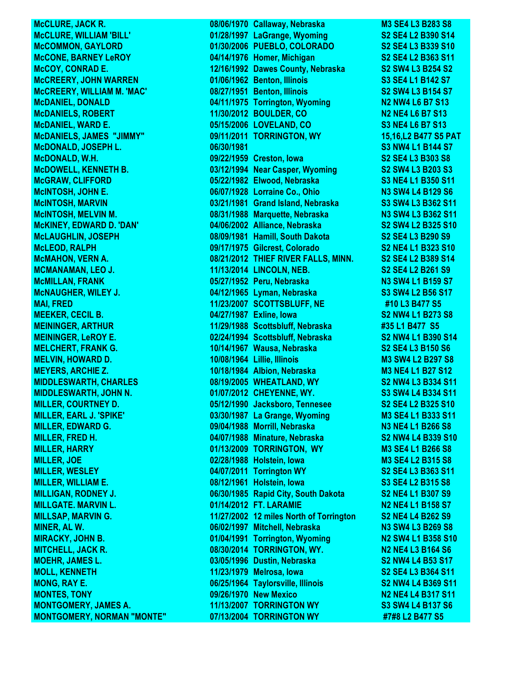**MONTGOMERY, NORMAN "MONTE" 07/13/2004 TORRINGTON WY #7#8 L2 B477 S5**

McCLURE, JACK R. 2883 S8 **McCLURE, WILLIAM 'BILL' 01/28/1997 LaGrange, Wyoming S2 SE4 L2 B390 S14 McCOMMON, GAYLORD 01/30/2006 PUEBLO, COLORADO S2 SE4 L3 B339 S10 McCONE, BARNEY LeROY 04/14/1976 Homer, Michigan S2 SE4 L2 B363 S11 McCOY, CONRAD E. 12/16/1992 Dawes County, Nebraska S2 SW4 L3 B254 S2 McCREERY, JOHN WARREN 01/06/1962 Benton, Illinois S3 SE4 L1 B142 S7 McCREERY, WILLIAM M. 'MAC' 08/27/1951 Benton, Illinois S2 SW4 L3 B154 S7 McDANIEL, DONALD 04/11/1975 Torrington, Wyoming <b>N2 NW4 L6 B7 S13 McDANIELS, ROBERT 11/30/2012 BOULDER, CO N2 NE4 L6 B7 S13 McDANIEL, WARD E. 05/15/2006 LOVELAND, CO S3 NE4 L6 B7 S13 McDANIELS, JAMES "JIMMY" 09/11/2011 TORRINGTON, WY 15,16,L2 B477 S5 PAT McDONALD, JOSEPH L. 06/30/1981 S3 NW4 L1 B144 S7 McDONALD, W.H. 09/22/1959 Creston, Iowa S2 SE4 L3 B303 S8 McDOWELL, KENNETH B. 03/12/1994 Near Casper, Wyoming S2 SW4 L3 B203 S3 McGRAW, CLIFFORD 05/22/1982 Elwood, Nebraska S3 NE4 L1 B350 S11 McINTOSH, JOHN E. 06/07/1928 Lorraine Co., Ohio N3 SW4 L4 B129 S6 McINTOSH, MARVIN 03/21/1981 Grand Island, Nebraska S3 SW4 L3 B362 S11 McINTOSH, MELVIN M. 08/31/1988 Marquette, Nebraska N3 SW4 L3 B362 S11 McKINEY, EDWARD D. 'DAN' 04/06/2002 Alliance, Nebraska S2 SW4 L2 B325 S10 McLAUGHLIN, JOSEPH 08/09/1981 Hamill, South Dakota S2 SE4 L3 B290 S9 McLEOD, RALPH 09/17/1975 Gilcrest, Colorado S2 NE4 L1 B323 S10 McMAHON, VERN A. 08/21/2012 THIEF RIVER FALLS, MINN. S2 SE4 L2 B389 S14 MCMANAMAN, LEO J. 11/13/2014 LINCOLN, NEB. S2 SE4 L2 B261 S9 McMILLAN, FRANK 05/27/1952 Peru, Nebraska N3 SW4 L1 B159 S7 McNAUGHER, WILEY J. 04/12/1965 Lyman, Nebraska S3 SW4 L2 B56 S17 MAI, FRED 11/23/2007 SCOTTSBLUFF, NE #10 L3 B477 S5 MEEKER, CECIL B. 04/27/1987 Exline, Iowa S2 NW4 L1 B273 S8 MEININGER, ARTHUR 11/29/1988 Scottsbluff, Nebraska #35 L1 B477 S5 MEININGER, LeROY E. 02/24/1994 Scottsbluff, Nebraska S2 NW4 L1 B390 S14 MELCHERT, FRANK G. 10/14/1967 Wausa, Nebraska S2 SE4 L3 B150 S6 MELVIN, HOWARD D. 10/08/1964 Lillie, Illinois M3 SW4 L2 B297 S8 MEYERS, ARCHIE Z. 10/18/1984 Albion, Nebraska M3 NE4 L1 B27 S12 MIDDLESWARTH, CHARLES 08/19/2005 WHEATLAND, WY S2 NW4 L3 B334 S11 MIDDLESWARTH, JOHN N. 01/07/2012 CHEYENNE, WY. S3 SW4 L4 B334 S11 MILLER, COURTNEY D. 05/12/1990 Jacksboro, Tennesee S2 SE4 L2 B325 S10 MILLER, EARL J. 'SPIKE' 03/30/1987 La Grange, Wyoming M3 SE4 L1 B333 S11 MILLER, EDWARD G. 09/04/1988 Morrill, Nebraska N3 NE4 L1 B266 S8 MILLER, FRED H. 04/07/1988 Minature, Nebraska S2 NW4 L4 B339 S10 MILLER, HARRY 01/13/2009 TORRINGTON, WY M3 SE4 L1 B266 S8 MILLER, JOE 02/28/1988 Holstein, Iowa M3 SE4 L2 B315 S8 MILLER, WESLEY 04/07/2011 Torrington WY S2 SE4 L3 B363 S11 MILLER, WILLIAM E. 08/12/1961 Holstein, Iowa S3 SE4 L2 B315 S8 MILLIGAN, RODNEY J. 06/30/1985 Rapid City, South Dakota S2 NE4 L1 B307 S9 MILLGATE. MARVIN L. 01/14/2012 FT. LARAMIE N2 NE4 L1 B158 S7 MILLSAP, MARVIN G. 11/27/2002 12 miles North of Torrington S2 NE4 L4 B262 S9 MINER, AL W. 06/02/1997 Mitchell, Nebraska N3 SW4 L3 B269 S8 MIRACKY, JOHN B. 01/04/1991 Torrington, Wyoming N2 SW4 L1 B358 S10 MITCHELL, JACK R. 08/30/2014 TORRINGTON, WY. N2 NE4 L3 B164 S6 MOEHR, JAMES L. 03/05/1996 Dustin, Nebraska S2 NW4 L4 B53 S17 MOLL, KENNETH 11/23/1979 Melrosa, Iowa S2 SE4 L3 B364 S11 MONG, RAY E. 06/25/1964 Taylorsville, Illinois S2 NW4 L4 B369 S11 MONTES, TONY 09/26/1970 New Mexico N2 NE4 L4 B317 S11 MONTGOMERY, JAMES A. 11/13/2007 TORRINGTON WY S3 SW4 L4 B137 S6**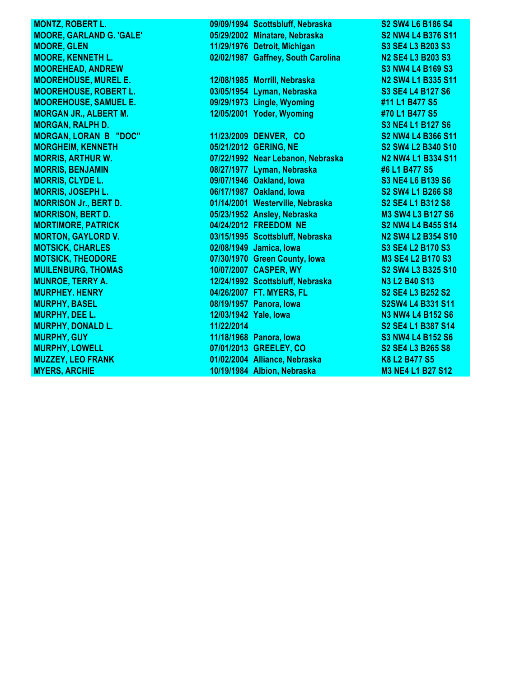**MONTZ, ROBERT L.** 09/09/1994 Scottsbluff, Nebraska S2 SW4 L6 B186 S4 **MOORE, GARLAND G. 'GALE' 05/29/2002 Minatare, Nebraska S2 NW4 L4 B376 S11 MOORE, GLEN 11/29/1976 Detroit, Michigan S3 SE4 L3 B203 S3 MOORE, KENNETH L. 02/02/1987 Gaffney, South Carolina N2 SE4 L3 B203 S3 MOOREHEAD, ANDREW S3 NW4 L4 B169 S3 MOOREHOUSE, MUREL E. 12/08/1985 Morrill, Nebraska N2 SW4 L1 B335 S11 MOOREHOUSE, ROBERT L. 03/05/1954 Lyman, Nebraska S3 SE4 L4 B127 S6 MOOREHOUSE, SAMUEL E. 09/29/1973 Lingle, Wyoming #11 L1 B477 S5 MORGAN JR., ALBERT M. 12/05/2001 Yoder, Wyoming #70 L1 B477 S5 MORGAN, RALPH D. S3 NE4 L1 B127 S6 MORGAN, LORAN B "DOC" 11/23/2009 DENVER, CO S2 NW4 L4 B366 S11 MORGHEIM, KENNETH 05/21/2012 GERING, NE S2 SW4 L2 B340 S10 MORRIS, ARTHUR W. 07/22/1992 Near Lebanon, Nebraska N2 NW4 L1 B334 S11 MORRIS, BENJAMIN 08/27/1977 Lyman, Nebraska #6 L1 B477 S5 MORRIS, CLYDE L. 09/07/1946 Oakland, Iowa S3 NE4 L6 B139 S6 MORRIS, JOSEPH L. 06/17/1987 Oakland, Iowa S2 SW4 L1 B266 S8 MORRISON Jr., BERT D. 01/14/2001 Westerville, Nebraska S2 SE4 L1 B312 S8 MORRISON, BERT D. 05/23/1952 Ansley, Nebraska M3 SW4 L3 B127 S6 MORTIMORE, PATRICK 04/24/2012 FREEDOM NE S2 NW4 L4 B455 S14 MORTON, GAYLORD V. 03/15/1995 Scottsbluff, Nebraska N2 SW4 L2 B354 S10 MOTSICK, CHARLES 02/08/1949 Jamica, Iowa S3 SE4 L2 B170 S3 MOTSICK, THEODORE 07/30/1970 Green County, Iowa M3 SE4 L2 B170 S3 MUILENBURG, THOMAS 10/07/2007 CASPER, WY S2 SW4 L3 B325 S10 MUNROE, TERRY A. 12/24/1992 Scottsbluff, Nebraska N3 L2 B40 S13 MURPHEY. HENRY 04/26/2007 FT. MYERS, FL S2 SE4 L3 B252 S2 MURPHY, BASEL 08/19/1957 Panora, Iowa S2SW4 L4 B331 S11 MURPHY, DEE L. 12/03/1942 Yale, Iowa N3 NW4 L4 B152 S6 MURPHY, DONALD L. 11/22/2014 S2 SE4 L1 B387 S14 MURPHY, GUY 11/18/1968 Panora, Iowa S3 NW4 L4 B152 S6 MURPHY, LOWELL 07/01/2013 GREELEY, CO S2 SE4 L3 B265 S8 MUZZEY, LEO FRANK 01/02/2004 Alliance, Nebraska K8 L2 B477 S5 MYERS, ARCHIE 10/19/1984 Albion, Nebraska M3 NE4 L1 B27 S12**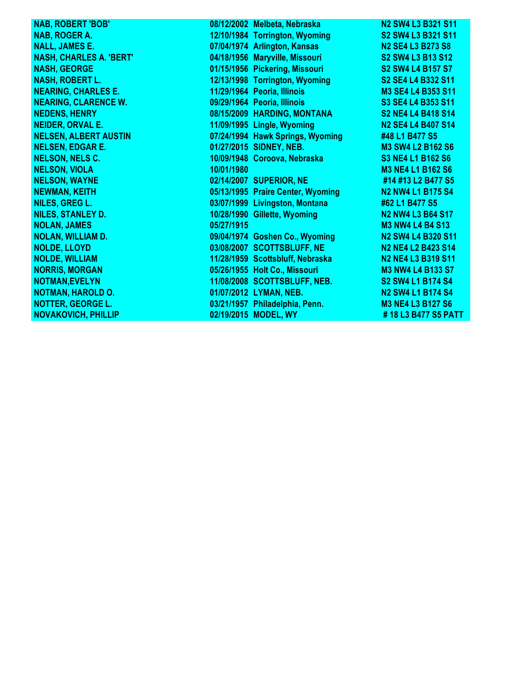| <b>NAB, ROBERT 'BOB'</b>       |            | 08/12/2002 Melbeta, Nebraska      | N <sub>2</sub> SW <sub>4</sub> L <sub>3</sub> B <sub>321</sub> S <sub>11</sub> |
|--------------------------------|------------|-----------------------------------|--------------------------------------------------------------------------------|
| NAB, ROGER A.                  |            | 12/10/1984 Torrington, Wyoming    | S2 SW4 L3 B321 S11                                                             |
| <b>NALL, JAMES E.</b>          |            | 07/04/1974 Arlington, Kansas      | N <sub>2</sub> SE4 L <sub>3</sub> B <sub>273</sub> S <sub>8</sub>              |
| <b>NASH, CHARLES A. 'BERT'</b> |            | 04/18/1956 Maryville, Missouri    | <b>S2 SW4 L3 B13 S12</b>                                                       |
| <b>NASH, GEORGE</b>            |            | 01/15/1956 Pickering, Missouri    | S <sub>2</sub> SW <sub>4</sub> L <sub>4</sub> B <sub>157</sub> S <sub>7</sub>  |
| <b>NASH, ROBERT L.</b>         |            | 12/13/1998 Torrington, Wyoming    | S2 SE4 L4 B332 S11                                                             |
| <b>NEARING, CHARLES E.</b>     |            | 11/29/1964 Peoria, Illinois       | M3 SE4 L4 B353 S11                                                             |
| <b>NEARING, CLARENCE W.</b>    |            | 09/29/1964 Peoria, Illinois       | S3 SE4 L4 B353 S11                                                             |
| <b>NEDENS, HENRY</b>           |            | 08/15/2009 HARDING, MONTANA       | S2 NE4 L4 B418 S14                                                             |
| <b>NEIDER, ORVAL E.</b>        |            | 11/09/1995 Lingle, Wyoming        | N <sub>2</sub> SE4 L <sub>4</sub> B <sub>407</sub> S <sub>14</sub>             |
| <b>NELSEN, ALBERT AUSTIN</b>   |            | 07/24/1994 Hawk Springs, Wyoming  | #48 L1 B477 S5                                                                 |
| <b>NELSEN, EDGAR E.</b>        |            | 01/27/2015 SIDNEY, NEB.           | <b>M3 SW4 L2 B162 S6</b>                                                       |
| <b>NELSON, NELS C.</b>         |            | 10/09/1948 Coroova, Nebraska      | <b>S3 NE4 L1 B162 S6</b>                                                       |
| <b>NELSON, VIOLA</b>           | 10/01/1980 |                                   | <b>M3 NE4 L1 B162 S6</b>                                                       |
| <b>NELSON, WAYNE</b>           |            | 02/14/2007 SUPERIOR, NE           | #14 #13 L2 B477 S5                                                             |
| <b>NEWMAN, KEITH</b>           |            | 05/13/1995 Praire Center, Wyoming | N <sub>2</sub> N <sub>W</sub> 4 L <sub>1</sub> B <sub>175</sub> S <sub>4</sub> |
| NILES, GREG L.                 |            | 03/07/1999 Livingston, Montana    | #62 L1 B477 S5                                                                 |
| <b>NILES, STANLEY D.</b>       |            | 10/28/1990 Gillette, Wyoming      | <b>N2 NW4 L3 B64 S17</b>                                                       |
| <b>NOLAN, JAMES</b>            | 05/27/1915 |                                   | <b>M3 NW4 L4 B4 S13</b>                                                        |
| <b>NOLAN, WILLIAM D.</b>       |            | 09/04/1974 Goshen Co., Wyoming    | N2 SW4 L4 B320 S11                                                             |
| <b>NOLDE, LLOYD</b>            |            | 03/08/2007 SCOTTSBLUFF, NE        | <b>N2 NE4 L2 B423 S14</b>                                                      |
| <b>NOLDE, WILLIAM</b>          |            | 11/28/1959 Scottsbluff, Nebraska  | N2 NE4 L3 B319 S11                                                             |
| <b>NORRIS, MORGAN</b>          |            | 05/26/1955 Holt Co., Missouri     | <b>M3 NW4 L4 B133 S7</b>                                                       |
| <b>NOTMAN, EVELYN</b>          |            | 11/08/2008 SCOTTSBLUFF, NEB.      | S2 SW4 L1 B174 S4                                                              |
| <b>NOTMAN, HAROLD O.</b>       |            | 01/07/2012 LYMAN, NEB.            | <b>N2 SW4 L1 B174 S4</b>                                                       |
| <b>NOTTER, GEORGE L.</b>       |            | 03/21/1957 Philadelphia, Penn.    | <b>M3 NE4 L3 B127 S6</b>                                                       |
| <b>NOVAKOVICH, PHILLIP</b>     |            | 02/19/2015 MODEL, WY              | #18 L3 B477 S5 PATT                                                            |
|                                |            |                                   |                                                                                |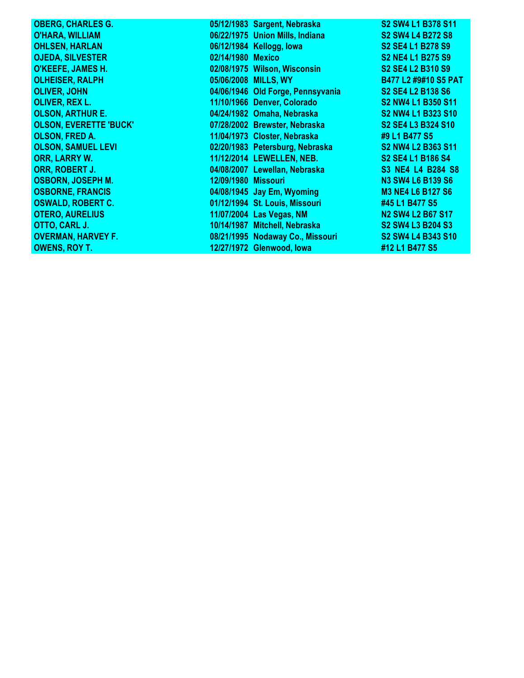| <b>OBERG, CHARLES G.</b>      |                     | 05/12/1983 Sargent, Nebraska      | S2 SW4 L1 B378 S11                                                            |
|-------------------------------|---------------------|-----------------------------------|-------------------------------------------------------------------------------|
| <b>O'HARA, WILLIAM</b>        |                     | 06/22/1975 Union Mills, Indiana   | <b>S2 SW4 L4 B272 S8</b>                                                      |
| <b>OHLSEN, HARLAN</b>         |                     | 06/12/1984 Kellogg, lowa          | S <sub>2</sub> SE <sub>4</sub> L <sub>1</sub> B <sub>278</sub> S <sub>9</sub> |
| <b>OJEDA, SILVESTER</b>       | 02/14/1980 Mexico   |                                   | <b>S2 NE4 L1 B275 S9</b>                                                      |
| O'KEEFE, JAMES H.             |                     | 02/08/1975 Wilson, Wisconsin      | S2 SE4 L2 B310 S9                                                             |
| <b>OLHEISER, RALPH</b>        |                     | 05/06/2008 MILLS, WY              | B477 L2 #9#10 S5 PAT                                                          |
| <b>OLIVER, JOHN</b>           |                     | 04/06/1946 Old Forge, Pennsyvania | <b>S2 SE4 L2 B138 S6</b>                                                      |
| <b>OLIVER, REX L.</b>         |                     | 11/10/1966 Denver, Colorado       | S2 NW4 L1 B350 S11                                                            |
| <b>OLSON, ARTHUR E.</b>       |                     | 04/24/1982 Omaha, Nebraska        | S2 NW4 L1 B323 S10                                                            |
| <b>OLSON, EVERETTE 'BUCK'</b> |                     | 07/28/2002 Brewster, Nebraska     | S2 SE4 L3 B324 S10                                                            |
| <b>OLSON, FRED A.</b>         |                     | 11/04/1973 Closter, Nebraska      | #9 L1 B477 S5                                                                 |
| <b>OLSON, SAMUEL LEVI</b>     |                     | 02/20/1983 Petersburg, Nebraska   | S2 NW4 L2 B363 S11                                                            |
| <b>ORR, LARRY W.</b>          |                     | 11/12/2014 LEWELLEN, NEB.         | S <sub>2</sub> SE <sub>4</sub> L <sub>1</sub> B <sub>186</sub> S <sub>4</sub> |
| ORR, ROBERT J.                |                     | 04/08/2007 Lewellan, Nebraska     | S3 NE4 L4 B284 S8                                                             |
| <b>OSBORN, JOSEPH M.</b>      | 12/09/1980 Missouri |                                   | <b>N3 SW4 L6 B139 S6</b>                                                      |
| <b>OSBORNE, FRANCIS</b>       |                     | 04/08/1945 Jay Em, Wyoming        | <b>M3 NE4 L6 B127 S6</b>                                                      |
| <b>OSWALD, ROBERT C.</b>      |                     | 01/12/1994 St. Louis, Missouri    | #45 L1 B477 S5                                                                |
| <b>OTERO, AURELIUS</b>        |                     | 11/07/2004 Las Vegas, NM          | <b>N2 SW4 L2 B67 S17</b>                                                      |
| OTTO, CARL J.                 |                     | 10/14/1987 Mitchell, Nebraska     | S2 SW4 L3 B204 S3                                                             |
| <b>OVERMAN, HARVEY F.</b>     |                     | 08/21/1995 Nodaway Co., Missouri  | S2 SW4 L4 B343 S10                                                            |
| <b>OWENS, ROY T.</b>          |                     | 12/27/1972 Glenwood, lowa         | #12 L1 B477 S5                                                                |
|                               |                     |                                   |                                                                               |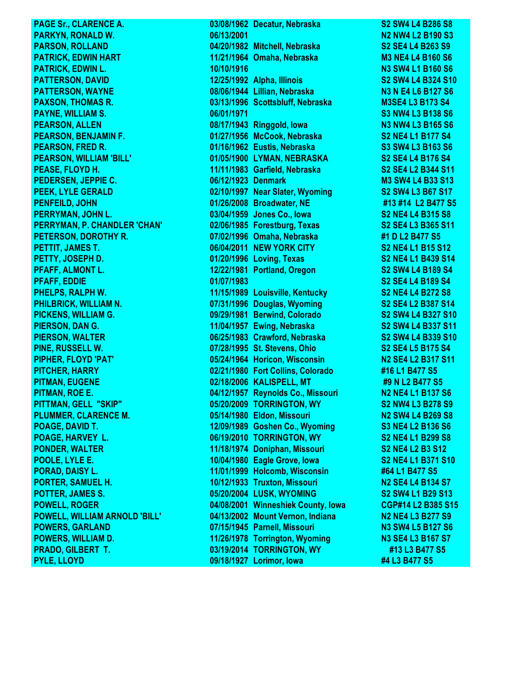**PAGE Sr., CLARENCE A.** 03/08/1962 Decatur, Nebraska S2 SW4 L4 B286 S8 **PARKYN, RONALD W. 06/13/2001 N2 NW4 L2 B190 S3 PARSON, ROLLAND 04/20/1982 Mitchell, Nebraska S2 SE4 L4 B263 S9 PATRICK, EDWIN HART 11/21/1964 Omaha, Nebraska M3 NE4 L4 B160 S6 PATRICK, EDWIN L. 10/10/1916 N3 SW4 L1 B160 S6 PATTERSON, DAVID 12/25/1992 Alpha, Illinois S2 SW4 L4 B324 S10 PATTERSON, WAYNE 08/06/1944 Lillian, Nebraska N3 N E4 L6 B127 S6 PAXSON, THOMAS R. 03/13/1996** Scottsbluff, Nebraska M3SE4 L3 B173 S4 **PAYNE, WILLIAM S. 06/01/1971 S3 NW4 L3 B138 S6 PEARSON, ALLEN 08/17/1943 Ringgold, Iowa N3 NW4 L3 B165 S6 PEARSON, BENJAMIN F. 01/27/1956 McCook, Nebraska S2 NE4 L1 B177 S4 PEARSON, FRED R. 01/16/1962 Eustis, Nebraska S3 SW4 L3 B163 S6 PEARSON, WILLIAM 'BILL' 01/05/1900 LYMAN, NEBRASKA S2 SE4 L4 B176 S4 PEASE, FLOYD H. 11/11/1983 Garfield, Nebraska S2 SE4 L2 B344 S11 PEDERSEN, JEPPIE C. 06/12/1923 Denmark M3 SW4 L4 B33 S13 PEEK, LYLE GERALD 02/10/1997 Near Slater, Wyoming S2 SW4 L3 B67 S17 PENFEILD, JOHN 01/26/2008 Broadwater, NE #13 #14 L2 B477 S5 PERRYMAN, JOHN L. 03/04/1959 Jones Co., Iowa S2 NE4 L4 B315 S8 PERRYMAN, P. CHANDLER 'CHAN' 02/06/1985 Forestburg, Texas S2 SE4 L3 B365 S11 PETERSON, DOROTHY R. 07/02/1996 Omaha, Nebraska #1 D L2 B477 S5 PETTIT, JAMES T. 06/04/2011 NEW YORK CITY S2 NE4 L1 B15 S12 PETTY, JOSEPH D. 01/20/1996 Loving, Texas S2 NE4 L1 B439 S14 PFAFF, ALMONT L. 12/22/1981 Portland, Oregon S2 SW4 L4 B189 S4 PFAFF, EDDIE 01/07/1983 S2 SE4 L4 B189 S4 PHELPS, RALPH W. 11/15/1989 Louisville, Kentucky S2 NE4 L4 B272 S8 PHILBRICK, WILLIAM N. 07/31/1996 Douglas, Wyoming S2 SE4 L2 B387 S14 PICKENS, WILLIAM G. 09/29/1981 Berwind, Colorado S2 SW4 L4 B327 S10 PIERSON, DAN G. 11/04/1957 Ewing, Nebraska S2 SW4 L4 B337 S11 PIERSON, WALTER 06/25/1983 Crawford, Nebraska S2 SW4 L4 B339 S10 PINE, RUSSELL W. 07/28/1995 St. Stevens, Ohio S2 SE4 L5 B175 S4 PIPHER, FLOYD 'PAT' 05/24/1964 Horicon, Wisconsin N2 SE4 L2 B317 S11 PITCHER, HARRY 02/21/1980 Fort Collins, Colorado #16 L1 B477 S5 PITMAN, EUGENE 02/18/2006 KALISPELL, MT 49 N L2 B477 S5 PITMAN, ROE E. 04/12/1957 Reynolds Co., Missouri N2 NE4 L1 B137 S6 PITTMAN, GELL "SKIP" 05/20/2009 TORRINGTON, WY S2 NW4 L3 B278 S9 PLUMMER, CLARENCE M. 05/14/1980 Eldon, Missouri N2 SW4 L4 B269 S8 POAGE, DAVID T. 12/09/1989 Goshen Co., Wyoming S3 NE4 L2 B136 S6 POAGE, HARVEY L. 06/19/2010 TORRINGTON, WY S2 NE4 L1 B299 S8 PONDER, WALTER 11/18/1974 Doniphan, Missouri S2 NE4 L2 B3 S12 POOLE, LYLE E. 10/04/1980 Eagle Grove, Iowa S2 NE4 L1 B371 S10 PORAD, DAISY L. 11/01/1999 Holcomb, Wisconsin #64 L1 B477 S5 PORTER, SAMUEL H. 10/12/1933 Truxton, Missouri N2 SE4 L4 B134 S7 POTTER, JAMES S. 05/20/2004 LUSK, WYOMING S2 SW4 L1 B29 S13 POWELL, ROGER 04/08/2001 Winneshiek County, Iowa POWELL, WILLIAM ARNOLD 'BILL' 04/13/2002 Mount Vernon, Indiana N2 NE4 L3 B277 S9 POWERS, GARLAND 07/15/1945 Parnell, Missouri N3 SW4 L5 B127 S6 POWERS, WILLIAM D. 11/26/1978** Torrington, Wyoming **N3 SE4 L3 B167 S7 PRADO, GILBERT T. 03/19/2014 TORRINGTON, WY #13 L3 B477 S5 PYLE, LLOYD 09/18/1927 Lorimor, Iowa #4 L3 B477 S5**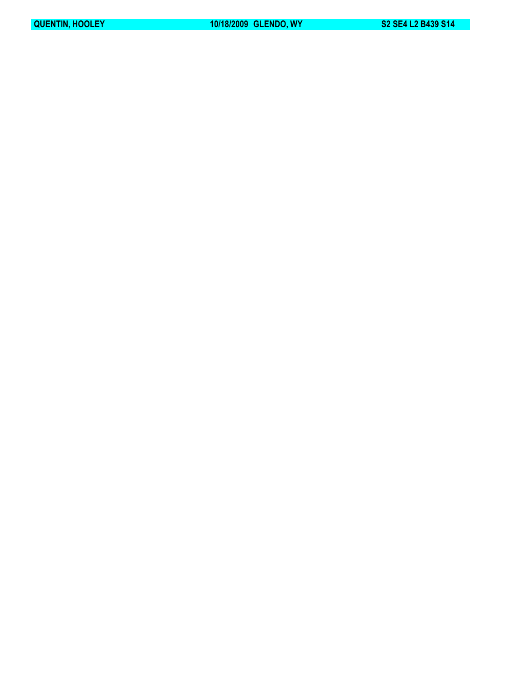**QUENTIN, HOOLEY 10/18/2009 GLENDO, WY S2 SE4 L2 B439 S14**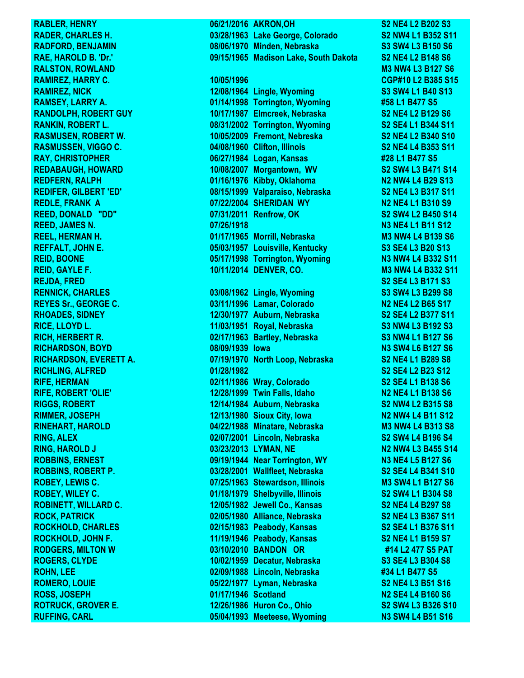**RUFFING, CARL 05/04/1993 Meeteese, Wyoming N3 SW4 L4 B51 S16**

**RABLER, HENRY 66/21/2016 AKRON, OH S2 NE4 L2 B202 S3 RADER, CHARLES H. 03/28/1963 Lake George, Colorado S2 NW4 L1 B352 S11 RADFORD, BENJAMIN 08/06/1970 Minden, Nebraska S3 SW4 L3 B150 S6 RAE, HAROLD B. 'Dr.' 09/15/1965 Madison Lake, South Dakota S2 NE4 L2 B148 S6 RALSTON, ROWLAND M3 NW4 L3 B127 S6 RAMIREZ, HARRY C. 10/05/1996 CGP#10 L2 B385 S15 RAMIREZ, NICK 12/08/1964 Lingle, Wyoming S3 SW4 L1 B40 S13 RAMSEY, LARRY A. 01/14/1998 Torrington, Wyoming #58 L1 B477 S5 RANDOLPH, ROBERT GUY 10/17/1987 Elmcreek, Nebraska S2 NE4 L2 B129 S6 RANKIN, ROBERT L. 08/31/2002 Torrington, Wyoming S2 SE4 L1 B344 S11 RASMUSEN, ROBERT W. 10/05/2009 Fremont, Nebreska S2 NE4 L2 B340 S10 RASMUSSEN, VIGGO C. 04/08/1960 Clifton, Illinois S2 NE4 L4 B353 S11 RAY, CHRISTOPHER 06/27/1984 Logan, Kansas #28 L1 B477 S5 REDABAUGH, HOWARD 10/08/2007 Morgantown, WV S2 SW4 L3 B471 S14 REDFERN, RALPH 01/16/1976 Kibby, Oklahoma N2 NW4 L4 B29 S13 REDIFER, GILBERT 'ED' 08/15/1999 Valparaiso, Nebraska S2 NE4 L3 B317 S11 REDLE, FRANK A 07/22/2004 SHERIDAN WY N2 NE4 L1 B310 S9 REED, DONALD "DD" 07/31/2011 Renfrow, OK S2 SW4 L2 B450 S14 REED, JAMES N. 07/26/1918 N3 NE4 L1 B11 S12 REEL, HERMAN H. 01/17/1965 Morrill, Nebraska M3 NW4 L4 B139 S6 REFFALT, JOHN E. 05/03/1957 Louisville, Kentucky S3 SE4 L3 B20 S13 REID, BOONE 05/17/1998 Torrington, Wyoming N3 NW4 L4 B332 S11 REID, GAYLE F. 10/11/2014 DENVER, CO. M3 NW4 L4 B332 S11 REJDA, FRED S2 SE4 L3 B171 S3 RENNICK, CHARLES 03/08/1962 Lingle, Wyoming S3 SW4 L3 B299 S8 REYES Sr., GEORGE C. 03/11/1996 Lamar, Colorado N2 NE4 L2 B65 S17 RHOADES, SIDNEY 12/30/1977 Auburn, Nebraska S2 SE4 L2 B377 S11 RICE, LLOYD L. 11/03/1951 Royal, Nebraska S3 NW4 L3 B192 S3 RICH, HERBERT R. 02/17/1963 Bartley, Nebraska S3 NW4 L1 B127 S6 RICHARDSON, BOYD 08/09/1939 Iowa N3 SW4 L6 B127 S6 RICHARDSON, EVERETT A. 07/19/1970 North Loop, Nebraska S2 NE4 L1 B289 S8 RICHLING, ALFRED 01/28/1982 S2 SE4 L2 B23 S12 RIFE, HERMAN 02/11/1986 Wray, Colorado S2 SE4 L1 B138 S6 RIFE, ROBERT 'OLIE' 12/28/1999 Twin Falls, Idaho N2 NE4 L1 B138 S6 RIGGS, ROBERT 12/14/1984 Auburn, Nebraska S2 NW4 L2 B315 S8 RIMMER, JOSEPH 12/13/1980 Sioux City, Iowa N2 NW4 L4 B11 S12 RINEHART, HAROLD 04/22/1988 Minatare, Nebraska M3 NW4 L4 B313 S8 RING, ALEX 02/07/2001 Lincoln, Nebraska S2 SW4 L4 B196 S4 RING, HAROLD J 03/23/2013 LYMAN, NE N2 NW4 L3 B455 S14 ROBBINS, ERNEST 09/19/1944 Near Torrington, WY N3 NE4 L5 B127 S6 ROBBINS, ROBERT P. 03/28/2001 Wallfleet, Nebraska S2 SE4 L4 B341 S10 ROBEY, LEWIS C. 07/25/1963 Stewardson, Illinois M3 SW4 L1 B127 S6 ROBEY, WILEY C. 01/18/1979 Shelbyville, Illinois S2 SW4 L1 B304 S8 ROBINETT, WILLARD C. 12/05/1982 Jewell Co., Kansas S2 NE4 L4 B297 S8 ROCK, PATRICK 02/05/1980 Alliance, Nebraska S2 NE4 L3 B367 S11 ROCKHOLD, CHARLES 02/15/1983 Peabody, Kansas S2 SE4 L1 B376 S11 ROCKHOLD, JOHN F. 11/19/1946 Peabody, Kansas S2 NE4 L1 B159 S7 RODGERS, MILTON W 03/10/2010 BANDON OR #14 L2 477 S5 PAT ROGERS, CLYDE 10/02/1959 Decatur, Nebraska S3 SE4 L3 B304 S8 ROHN, LEE 02/09/1988 Lincoln, Nebraska #34 L1 B477 S5 ROMERO, LOUIE 05/22/1977 Lyman, Nebraska S2 NE4 L3 B51 S16 ROSS, JOSEPH 01/17/1946 Scotland N2 SE4 L4 B160 S6 ROTRUCK, GROVER E. 12/26/1986 Huron Co., Ohio S2 SW4 L3 B326 S10**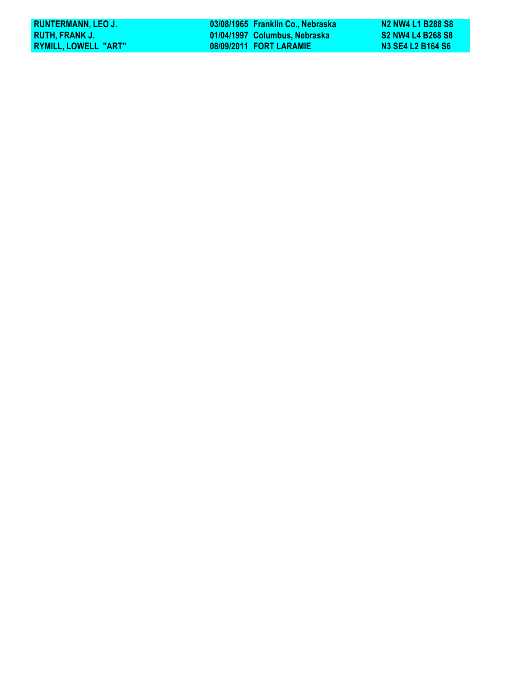| <b>RUNTERMANN, LEO J.</b> | 03/08/1965 Franklin Co., Nebraska | N <sub>2</sub> NW <sub>4</sub> L <sub>1</sub> B <sub>288</sub> S <sub>8</sub> |
|---------------------------|-----------------------------------|-------------------------------------------------------------------------------|
| RUTH. FRANK J.            | 01/04/1997 Columbus, Nebraska     | <b>S2 NW4 L4 B268 S8</b>                                                      |
| RYMILL, LOWELL "ART"      | 08/09/2011 FORT LARAMIE           | N3 SE4 L2 B164 S6                                                             |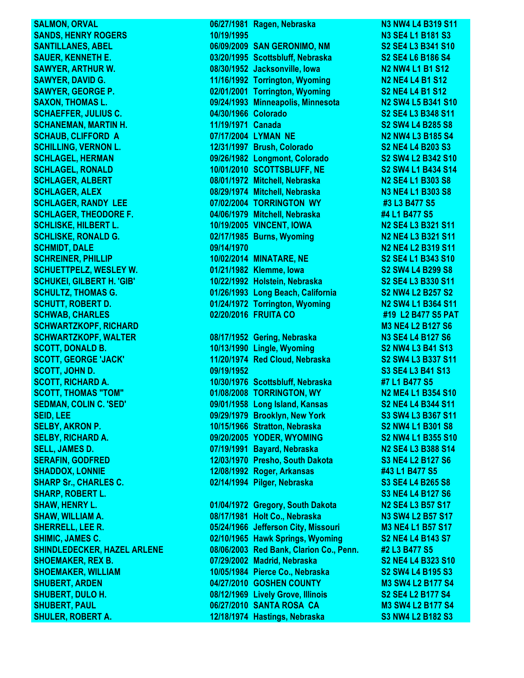**SHULER, ROBERT A. 12/18/1974 Hastings, Nebraska S3 NW4 L2 B182 S3**

**SALMON, ORVAL 68/27/1981 Ragen, Nebraska N3 NW4 L4 B319 S11 SANDS, HENRY ROGERS 10/19/1995 N3 SE4 L1 B181 S3 SANTILLANES, ABEL 06/09/2009 SAN GERONIMO, NM S2 SE4 L3 B341 S10 SAUER, KENNETH E. 03/20/1995 Scottsbluff, Nebraska S2 SE4 L6 B186 S4 SAWYER, ARTHUR W. 08/30/1952 Jacksonville, Iowa N2 NW4 L1 B1 S12 SAWYER, DAVID G. 11/16/1992 Torrington, Wyoming N2 NE4 L4 B1 S12 SAWYER, GEORGE P. 02/01/2001 Torrington, Wyoming S2 NE4 L4 B1 S12 SAXON, THOMAS L. 09/24/1993 Minneapolis, Minnesota N2 SW4 L5 B341 S10 SCHAEFFER, JULIUS C. 04/30/1966 Colorado S2 SE4 L3 B348 S11 SCHANEMAN, MARTIN H. 11/19/1971 Canada S2 SW4 L4 B285 S8 SCHAUB, CLIFFORD A 07/17/2004 LYMAN NE N2 NW4 L3 B185 S4 SCHILLING, VERNON L. 12/31/1997 Brush, Colorado S2 NE4 L4 B203 S3 SCHLAGEL, HERMAN 09/26/1982 Longmont, Colorado S2 SW4 L2 B342 S10 SCHLAGEL, RONALD 10/01/2010 SCOTTSBLUFF, NE S2 SW4 L1 B434 S14 SCHLAGER, ALBERT 08/01/1972 Mitchell, Nebraska N2 SE4 L1 B303 S8 SCHLAGER, ALEX 08/29/1974 Mitchell, Nebraska N3 NE4 L1 B303 S8 SCHLAGER, RANDY LEE 07/02/2004 TORRINGTON WY #3 L3 B477 S5 SCHLAGER, THEODORE F. 04/06/1979 Mitchell, Nebraska #4 L1 B477 S5 SCHLISKE, HILBERT L. 10/19/2005 VINCENT, IOWA N2 SE4 L3 B321 S11 SCHLISKE, RONALD G. 02/17/1985 Burns, Wyoming N2 NE4 L3 B321 S11 SCHMIDT, DALE 09/14/1970 N2 NE4 L2 B319 S11 SCHREINER, PHILLIP 10/02/2014 MINATARE, NE S2 SE4 L1 B343 S10 SCHUETTPELZ, WESLEY W. 01/21/1982 Klemme, Iowa S2 SW4 L4 B299 S8 SCHUKEI, GILBERT H. 'GIB' 10/22/1992 Holstein, Nebraska S2 SE4 L3 B330 S11 SCHULTZ, THOMAS G. 01/26/1993 Long Beach, California S2 NW4 L2 B257 S2 SCHUTT, ROBERT D. 01/24/1972 Torrington, Wyoming N2 SW4 L1 B364 S11 SCHWAB, CHARLES 02/20/2016 FRUITA CO #19 L2 B477 S5 PAT SCHWARTZKOPF, RICHARD M3 NE4 L2 B127 S6 SCHWARTZKOPF, WALTER 08/17/1952 Gering, Nebraska N3 SE4 L4 B127 S6 SCOTT, DONALD B. 10/13/1990 Lingle, Wyoming S2 NW4 L3 B41 S13 SCOTT, GEORGE 'JACK' 11/20/1974 Red Cloud, Nebraska S2 SW4 L3 B337 S11 SCOTT, JOHN D. 09/19/1952 S3 SE4 L3 B41 S13 SCOTT, RICHARD A. 10/30/1976 Scottsbluff, Nebraska #7 L1 B477 S5 SCOTT, THOMAS "TOM" 01/08/2008 TORRINGTON, WY N2 ME4 L1 B354 S10 SEDMAN, COLIN C. 'SED' 09/01/1958 Long Island, Kansas S2 NE4 L4 B344 S11 SEID, LEE 09/29/1979 Brooklyn, New York S3 SW4 L3 B367 S11 SELBY, AKRON P. 10/15/1966 Stratton, Nebraska S2 NW4 L1 B301 S8 SELBY, RICHARD A. 09/20/2005 YODER, WYOMING S2 NW4 L1 B355 S10 SELL, JAMES D. 07/19/1991 Bayard, Nebraska N2 SE4 L3 B388 S14 SERAFIN, GODFRED 12/03/1970 Presho, South Dakota S3 NE4 L2 B127 S6 SHADDOX, LONNIE 12/08/1992 Roger, Arkansas #43 L1 B477 S5 SHARP Sr., CHARLES C. 02/14/1994 Pilger, Nebraska S3 SE4 L4 B265 S8 SHARP, ROBERT L. S3 NE4 L4 B127 S6 SHAW, HENRY L. 01/04/1972 Gregory, South Dakota N2 SE4 L3 B57 S17 SHAW, WILLIAM A. 08/17/1981 Holt Co., Nebraska N3 SW4 L2 B57 S17 SHERRELL, LEE R. 05/24/1966 Jefferson City, Missouri M3 NE4 L1 B57 S17 SHIMIC, JAMES C. 02/10/1965 Hawk Springs, Wyoming S2 NE4 L4 B143 S7 SHINDLEDECKER, HAZEL ARLENE 08/06/2003 Red Bank, Clarion Co., Penn. #2 L3 B477 S5 SHOEMAKER, REX B.** 07/29/2002 Madrid, Nebraska S2 NE4 L4 B323 S10 **SHOEMAKER, WILLIAM 10/05/1984 Pierce Co., Nebraska S2 SW4 L4 B195 S3 SHUBERT, ARDEN 04/27/2010 GOSHEN COUNTY M3 SW4 L2 B177 S4 SHUBERT, DULO H. 08/12/1969 Lively Grove, Illinois S2 SE4 L2 B177 S4 SHUBERT, PAUL 06/27/2010 SANTA ROSA CA M3 SW4 L2 B177 S4**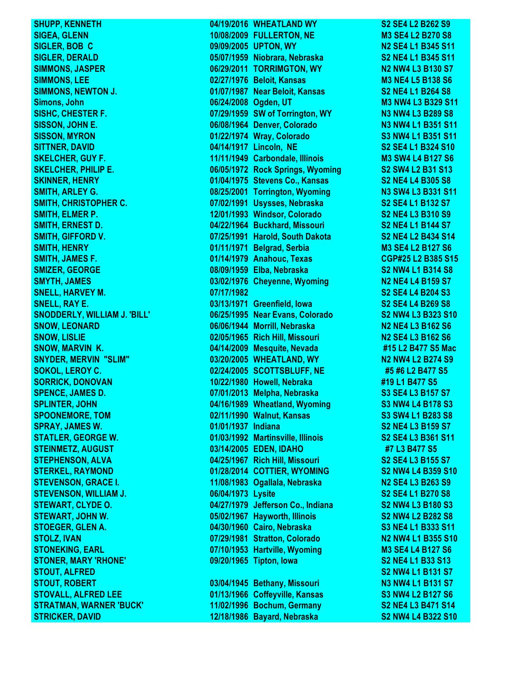**SHUPP, KENNETH 64/19/2016 WHEATLAND WY S2 SE4 L2 B262 S9** 

**SIGEA, GLENN 10/08/2009 FULLERTON, NE M3 SE4 L2 B270 S8 SIGLER, BOB C 09/09/2005 UPTON, WY N2 SE4 L1 B345 S11 SIGLER, DERALD 05/07/1959 Niobrara, Nebraska S2 NE4 L1 B345 S11 SIMMONS, JASPER 06/29/2011 TORRIMGTON, WY N2 NW4 L3 B130 S7 SIMMONS, LEE 02/27/1976 Beloit, Kansas M3 NE4 L5 B138 S6 SIMMONS, NEWTON J. 01/07/1987 Near Beloit, Kansas S2 NE4 L1 B264 S8 Simons, John 2008 Company of the Company of the Company of the Company of the Company of the Company of the Company of the Company of the Company of the Company of the Company of the Company of the Company of the Company SISHC, CHESTER F. 07/29/1959 SW of Torrington, WY N3 NW4 L3 B289 S8 SISSON, JOHN E. 06/08/1964 Denver, Colorado N3 NW4 L1 B351 S11 SISSON, MYRON 01/22/1974 Wray, Colorado S3 NW4 L1 B351 S11 SITTNER, DAVID 04/14/1917 Lincoln, NE S2 SE4 L1 B324 S10 SKELCHER, GUY F. 11/11/1949 Carbondale, Illinois M3 SW4 L4 B127 S6 SKELCHER, PHILIP E. 06/05/1972 Rock Springs, Wyoming S2 SW4 L2 B31 S13 SKINNER, HENRY 01/04/1975 Stevens Co., Kansas S2 NE4 L4 B305 S8 SMITH, ARLEY G. 08/25/2001 Torrington, Wyoming N3 SW4 L3 B331 S11 SMITH, CHRISTOPHER C. 07/02/1991 Usysses, Nebraska S2 SE4 L1 B132 S7 SMITH, ELMER P. 12/01/1993 Windsor, Colorado S2 NE4 L3 B310 S9 SMITH, ERNEST D. 04/22/1964 Buckhard, Missouri S2 NE4 L1 B144 S7 SMITH, GIFFORD V. 07/25/1991 Harold, South Dakota S2 NE4 L2 B434 S14 SMITH, HENRY 01/11/1971 Belgrad, Serbia M3 SE4 L2 B127 S6 SMITH, JAMES F. 01/14/1979 Anahouc, Texas CGP#25 L2 B385 S15 SMIZER, GEORGE 08/09/1959 Elba, Nebraska S2 NW4 L1 B314 S8 SMYTH, JAMES 03/02/1976 Cheyenne, Wyoming N2 NE4 L4 B159 S7 SNELL, HARVEY M. 07/17/1982 S2 SE4 L4 B204 S3 SNELL, RAY E. 03/13/1971 Greenfield, Iowa S2 SE4 L4 B269 S8 SNODDERLY, WILLIAM J. 'BILL' 06/25/1995 Near Evans, Colorado S2 NW4 L3 B323 S10 SNOW, LEONARD 06/06/1944 Morrill, Nebraska N2 NE4 L3 B162 S6 SNOW, LISLIE 02/05/1965 Rich Hill, Missouri N2 SE4 L3 B162 S6 SNOW, MARVIN K. 04/14/2009 Mesquite, Nevada #15 L2 B477 S5 Mac SNYDER, MERVIN "SLIM" 03/20/2005 WHEATLAND, WY N2 NW4 L2 B274 S9 SOKOL, LEROY C. 02/24/2005 SCOTTSBLUFF, NE #5 #6 L2 B477 S5 SORRICK, DONOVAN 10/22/1980 Howell, Nebraka #19 L1 B477 S5 SPENCE, JAMES D. 07/01/2013 Melpha, Nebraska S3 SE4 L3 B157 S7 SPLINTER, JOHN 04/16/1989 Wheatland, Wyoming S3 NW4 L4 B178 S3 SPOONEMORE, TOM 02/11/1990 Walnut, Kansas S3 SW4 L1 B283 S8 SPRAY, JAMES W. 01/01/1937 Indiana S2 NE4 L3 B159 S7 STATLER, GEORGE W. 01/03/1992 Martinsville, Illinois S2 SE4 L3 B361 S11 STEINMETZ, AUGUST 03/14/2005 EDEN, IDAHO #7 L3 B477 S5 STEPHENSON, ALVA 1988 CONSUMISTION CONSUMING METALLY AND CONSUMING SAMPLE SAMPLE S2 SE4 L3 B155 S7 STERKEL, RAYMOND 01/28/2014 COTTIER, WYOMING S2 NW4 L4 B359 S10 STEVENSON, GRACE I. 11/08/1983 Ogallala, Nebraska N2 SE4 L3 B263 S9 STEVENSON, WILLIAM J. 06/04/1973 Lysite S2 SE4 L1 B270 S8 STEWART, CLYDE O. 04/27/1979 Jefferson Co., Indiana S2 NW4 L3 B180 S3 STEWART, JOHN W. 05/02/1967 Hayworth, Illinois S2 NW4 L2 B282 S8 STOEGER, GLEN A. 04/30/1960 Cairo, Nebraska S3 NE4 L1 B333 S11 STOLZ, IVAN 07/29/1981 Stratton, Colorado N2 NW4 L1 B355 S10 STONEKING, EARL 07/10/1953 Hartville, Wyoming M3 SE4 L4 B127 S6 STONER, MARY 'RHONE' 09/20/1965 Tipton, Iowa S2 NE4 L1 B33 S13 STOUT, ALFRED S2 NW4 L1 B131 S7 STOUT, ROBERT 03/04/1945 Bethany, Missouri N3 NW4 L1 B131 S7 STOVALL, ALFRED LEE 01/13/1966 Coffeyville, Kansas S3 NW4 L2 B127 S6 STRATMAN, WARNER 'BUCK' 11/02/1996 Bochum, Germany S2 NE4 L3 B471 S14 STRICKER, DAVID 12/18/1986 Bayard, Nebraska S2 NW4 L4 B322 S10**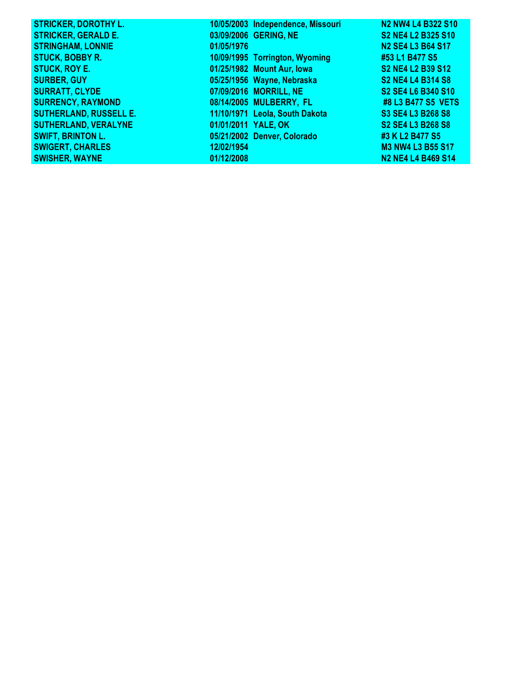| <b>STRICKER, DOROTHY L.</b>   |                     | 10/05/2003 Independence, Missouri | <b>N2 NW4 L4 B322 S10</b> |
|-------------------------------|---------------------|-----------------------------------|---------------------------|
| <b>STRICKER, GERALD E.</b>    |                     | 03/09/2006 GERING, NE             | S2 NE4 L2 B325 S10        |
| <b>STRINGHAM, LONNIE</b>      | 01/05/1976          |                                   | N2 SE4 L3 B64 S17         |
| <b>STUCK, BOBBY R.</b>        |                     | 10/09/1995 Torrington, Wyoming    | #53 L1 B477 S5            |
| <b>STUCK, ROY E.</b>          |                     | 01/25/1982 Mount Aur, Iowa        | S2 NE4 L2 B39 S12         |
| <b>SURBER, GUY</b>            |                     | 05/25/1956 Wayne, Nebraska        | <b>S2 NE4 L4 B314 S8</b>  |
| <b>SURRATT, CLYDE</b>         |                     | 07/09/2016 MORRILL, NE            | S2 SE4 L6 B340 S10        |
| <b>SURRENCY, RAYMOND</b>      |                     | 08/14/2005 MULBERRY, FL           | #8 L3 B477 S5 VETS        |
| <b>SUTHERLAND, RUSSELL E.</b> |                     | 11/10/1971 Leola, South Dakota    | S3 SE4 L3 B268 S8         |
| <b>SUTHERLAND, VERALYNE</b>   | 01/01/2011 YALE, OK |                                   | S2 SE4 L3 B268 S8         |
| <b>SWIFT, BRINTON L.</b>      |                     | 05/21/2002 Denver, Colorado       | #3 K L2 B477 S5           |
| <b>SWIGERT, CHARLES</b>       | 12/02/1954          |                                   | <b>M3 NW4 L3 B55 S17</b>  |
| <b>SWISHER, WAYNE</b>         | 01/12/2008          |                                   | <b>N2 NE4 L4 B469 S14</b> |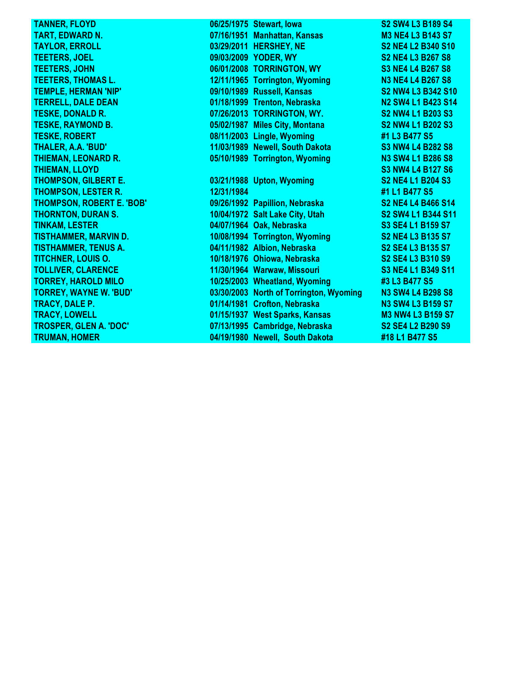| <b>TANNER, FLOYD</b>             |            | 06/25/1975 Stewart, Iowa                | <b>S2 SW4 L3 B189 S4</b> |
|----------------------------------|------------|-----------------------------------------|--------------------------|
| <b>TART, EDWARD N.</b>           |            | 07/16/1951 Manhattan, Kansas            | <b>M3 NE4 L3 B143 S7</b> |
| <b>TAYLOR, ERROLL</b>            |            | 03/29/2011 HERSHEY, NE                  | S2 NE4 L2 B340 S10       |
| <b>TEETERS, JOEL</b>             |            | 09/03/2009 YODER, WY                    | S2 NE4 L3 B267 S8        |
| <b>TEETERS, JOHN</b>             |            | 06/01/2008 TORRINGTON, WY               | <b>S3 NE4 L4 B267 S8</b> |
| <b>TEETERS, THOMAS L.</b>        |            | 12/11/1965 Torrington, Wyoming          | <b>N3 NE4 L4 B267 S8</b> |
| <b>TEMPLE, HERMAN 'NIP'</b>      |            | 09/10/1989 Russell, Kansas              | S2 NW4 L3 B342 S10       |
| <b>TERRELL, DALE DEAN</b>        |            | 01/18/1999 Trenton, Nebraska            | N2 SW4 L1 B423 S14       |
| <b>TESKE, DONALD R.</b>          |            | 07/26/2013 TORRINGTON, WY.              | S2 NW4 L1 B203 S3        |
| <b>TESKE, RAYMOND B.</b>         |            | 05/02/1987 Miles City, Montana          | <b>S2 NW4 L1 B202 S3</b> |
| <b>TESKE, ROBERT</b>             |            | 08/11/2003 Lingle, Wyoming              | #1 L3 B477 S5            |
| <b>THALER, A.A. 'BUD'</b>        |            | 11/03/1989 Newell, South Dakota         | <b>S3 NW4 L4 B282 S8</b> |
| <b>THIEMAN, LEONARD R.</b>       |            | 05/10/1989 Torrington, Wyoming          | N3 SW4 L1 B286 S8        |
| <b>THIEMAN, LLOYD</b>            |            |                                         | <b>S3 NW4 L4 B127 S6</b> |
| <b>THOMPSON, GILBERT E.</b>      |            | 03/21/1988 Upton, Wyoming               | <b>S2 NE4 L1 B204 S3</b> |
| <b>THOMPSON, LESTER R.</b>       | 12/31/1984 |                                         | #1 L1 B477 S5            |
| <b>THOMPSON, ROBERT E. 'BOB'</b> |            | 09/26/1992 Papillion, Nebraska          | S2 NE4 L4 B466 S14       |
| <b>THORNTON, DURAN S.</b>        |            | 10/04/1972 Salt Lake City, Utah         | S2 SW4 L1 B344 S11       |
| <b>TINKAM, LESTER</b>            |            | 04/07/1964 Oak, Nebraska                | S3 SE4 L1 B159 S7        |
| <b>TISTHAMMER, MARVIN D.</b>     |            | 10/08/1994 Torrington, Wyoming          | <b>S2 NE4 L3 B135 S7</b> |
| <b>TISTHAMMER, TENUS A.</b>      |            | 04/11/1982 Albion, Nebraska             | S2 SE4 L3 B135 S7        |
| <b>TITCHNER, LOUIS O.</b>        |            | 10/18/1976 Ohiowa, Nebraska             | S2 SE4 L3 B310 S9        |
| <b>TOLLIVER, CLARENCE</b>        |            | 11/30/1964 Warwaw, Missouri             | S3 NE4 L1 B349 S11       |
| <b>TORREY, HAROLD MILO</b>       |            | 10/25/2003 Wheatland, Wyoming           | #3 L3 B477 S5            |
| <b>TORREY, WAYNE W. 'BUD'</b>    |            | 03/30/2003 North of Torrington, Wyoming | N3 SW4 L4 B298 S8        |
| <b>TRACY, DALE P.</b>            |            | 01/14/1981 Crofton, Nebraska            | <b>N3 SW4 L3 B159 S7</b> |
| <b>TRACY, LOWELL</b>             |            | 01/15/1937 West Sparks, Kansas          | <b>M3 NW4 L3 B159 S7</b> |
| <b>TROSPER, GLEN A. 'DOC'</b>    |            | 07/13/1995 Cambridge, Nebraska          | S2 SE4 L2 B290 S9        |
| <b>TRUMAN, HOMER</b>             |            | 04/19/1980 Newell, South Dakota         | #18 L1 B477 S5           |
|                                  |            |                                         |                          |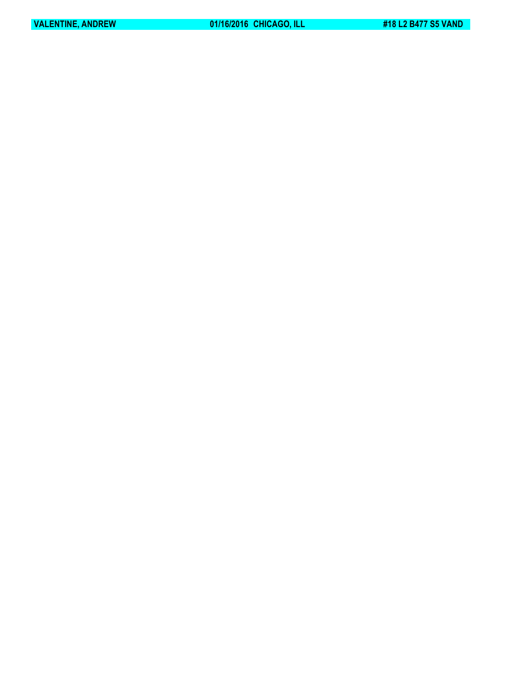**VALENTINE, ANDREW 61/16/2016 CHICAGO, ILL 418 L2 B477 S5 VAND**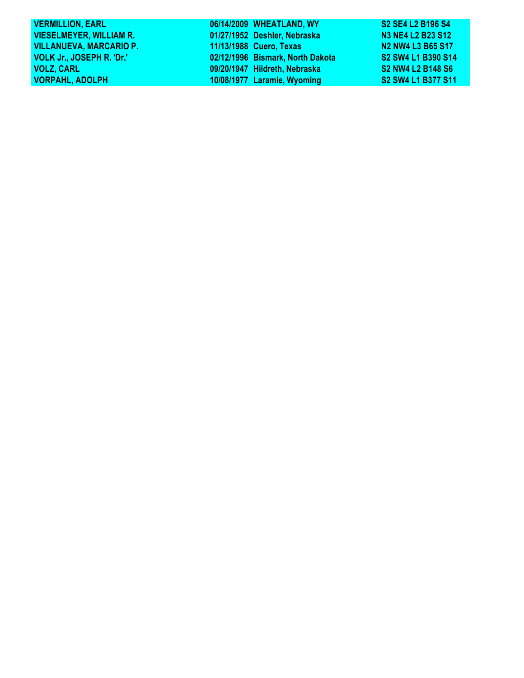| <b>VERMILLION, EARL</b>        | 06/14/2009 WHEATLAND, WY         | S2 SE4 L2 B196 S4        |
|--------------------------------|----------------------------------|--------------------------|
| <b>VIESELMEYER, WILLIAM R.</b> | 01/27/1952 Deshler, Nebraska     | N3 NE4 L2 B23 S12        |
| <b>VILLANUEVA, MARCARIO P.</b> | 11/13/1988 Cuero, Texas          | N2 NW4 L3 B65 S17        |
| VOLK Jr., JOSEPH R. 'Dr.'      | 02/12/1996 Bismark, North Dakota | S2 SW4 L1 B390 S14       |
| <b>VOLZ, CARL</b>              | 09/20/1947 Hildreth, Nebraska    | <b>S2 NW4 L2 B148 S6</b> |
| <b>VORPAHL, ADOLPH</b>         | 10/08/1977 Laramie, Wyoming      | S2 SW4 L1 B377 S11       |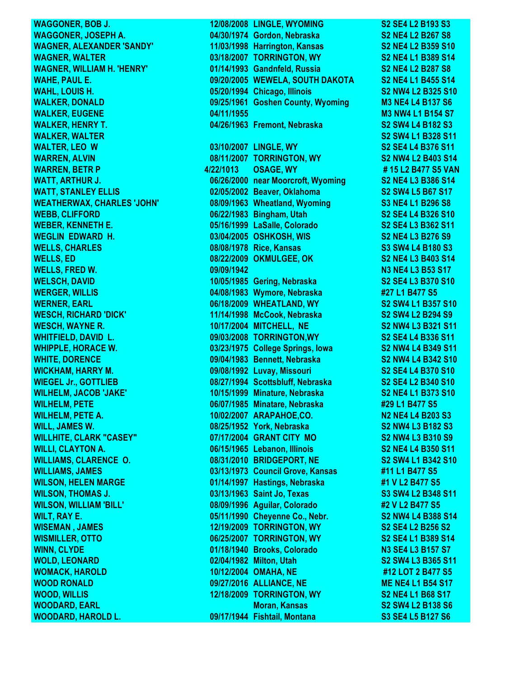**WAGGONER, BOB J. 12/08/2008 LINGLE, WYOMING S2 SE4 L2 B193 S3**

**WAGGONER, JOSEPH A. 04/30/1974 Gordon, Nebraska S2 NE4 L2 B267 S8 WAGNER, ALEXANDER 'SANDY' 11/03/1998 Harrington, Kansas S2 NE4 L2 B359 S10 WAGNER, WALTER 03/18/2007 TORRINGTON, WY S2 NE4 L1 B389 S14 WAGNER, WILLIAM H. 'HENRY' 01/14/1993 Gandnfeld, Russia S2 NE4 L2 B287 S8 WAHE, PAUL E. 09/20/2005 WEWELA, SOUTH DAKOTA S2 NE4 L1 B455 S14 WAHL, LOUIS H. 05/20/1994 Chicago, Illinois S2 NW4 L2 B325 S10 WALKER, DONALD 09/25/1961 Goshen County, Wyoming M3 NE4 L4 B137 S6 WALKER, EUGENE 04/11/1955 M3 NW4 L1 B154 S7 WALKER, HENRY T. 04/26/1963 Fremont, Nebraska S2 SW4 L4 B182 S3 WALKER, WALTER S2 SW4 L1 B328 S11 WALTER, LEO W 03/10/2007 LINGLE, WY S2 SE4 L4 B376 S11 WARREN, ALVIN 08/11/2007 TORRINGTON, WY S2 NW4 L2 B403 S14 WARREN, BETR P 4/22/1013 OSAGE, WY # 15 L2 B477 S5 VAN WATT, ARTHUR J. 06/26/2000 near Moorcroft, Wyoming S2 NE4 L3 B386 S14 WATT, STANLEY ELLIS 02/05/2002 Beaver, Oklahoma S2 SW4 L5 B67 S17 WEATHERWAX, CHARLES 'JOHN' 08/09/1963 Wheatland, Wyoming S3 NE4 L1 B296 S8 WEBB, CLIFFORD 06/22/1983 Bingham, Utah S2 SE4 L4 B326 S10 WEBER, KENNETH E. 05/16/1999 LaSalle, Colorado S2 SE4 L3 B362 S11 WEGLIN EDWARD H. 03/04/2005 OSHKOSH, WIS S2 NE4 L3 B276 S9 WELLS, CHARLES 08/08/1978 Rice, Kansas S3 SW4 L4 B180 S3 WELLS, ED 08/22/2009 OKMULGEE, OK S2 NE4 L3 B403 S14 WELLS, FRED W. 09/09/1942 N3 NE4 L3 B53 S17 WELSCH, DAVID 10/05/1985 Gering, Nebraska S2 SE4 L3 B370 S10 WERGER, WILLIS 04/08/1983 Wymore, Nebraska #27 L1 B477 S5 WERNER, EARL 06/18/2009 WHEATLAND, WY S2 SW4 L1 B357 S10 WESCH, RICHARD 'DICK' 11/14/1998 McCook, Nebraska S2 SW4 L2 B294 S9 WESCH, WAYNE R. 10/17/2004 MITCHELL, NE S2 NW4 L3 B321 S11 WHITFIELD, DAVID L. 09/03/2008 TORRINGTON,WY S2 SE4 L4 B336 S11 WHIPPLE, HORACE W. 03/23/1975 College Springs, Iowa S2 NW4 L4 B349 S11 WHITE, DORENCE 09/04/1983 Bennett, Nebraska S2 NW4 L4 B342 S10 WICKHAM, HARRY M. 09/08/1992 Luvay, Missouri S2 SE4 L4 B370 S10 WIEGEL Jr., GOTTLIEB 08/27/1994 Scottsbluff, Nebraska S2 SE4 L2 B340 S10 WILHELM, JACOB 'JAKE' 10/15/1999 Minature, Nebraska S2 NE4 L1 B373 S10 WILHELM, PETE 06/07/1985 Minatare, Nebraska #29 L1 B477 S5 WILHELM, PETE A. 10/02/2007 ARAPAHOE,CO. N2 NE4 L4 B203 S3 WILL, JAMES W. 08/25/1952 York, Nebraska S2 NW4 L3 B182 S3 WILLHITE, CLARK "CASEY" 07/17/2004 GRANT CITY MO S2 NW4 L3 B310 S9 WILLI, CLAYTON A. 06/15/1965 Lebanon, Illinois S2 NE4 L4 B350 S11 WILLIAMS, CLARENCE O. 08/31/2010 BRIDGEPORT, NE S2 SW4 L1 B342 S10 WILLIAMS, JAMES 03/13/1973 Council Grove, Kansas #11 L1 B477 S5 WILSON, HELEN MARGE 01/14/1997 Hastings, Nebraska #1 V L2 B477 S5 WILSON, THOMAS J. 03/13/1963 Saint Jo, Texas S3 SW4 L2 B348 S11 WILSON, WILLIAM 'BILL' 08/09/1996 Aguilar, Colorado #2 V L2 B477 S5 WILT, RAY E. 05/11/1990 Cheyenne Co., Nebr. S2 NW4 L4 B388 S14 WISEMAN , JAMES 12/19/2009 TORRINGTON, WY S2 SE4 L2 B256 S2 WISMILLER, OTTO 06/25/2007 TORRINGTON, WY S2 SE4 L1 B389 S14 WINN, CLYDE 01/18/1940 Brooks, Colorado N3 SE4 L3 B157 S7 WOLD, LEONARD 02/04/1982 Milton, Utah S2 SW4 L3 B365 S11 WOMACK, HAROLD 10/12/2004 OMAHA, NE #12 LOT 2 B477 S5 WOOD RONALD 09/27/2016 ALLIANCE, NE ME NE4 L1 B54 S17 WOOD, WILLIS 12/18/2009 TORRINGTON, WY S2 NE4 L1 B68 S17 WOODARD, EARL Moran, Kansas S2 SW4 L2 B138 S6 WOODARD, HAROLD L. 09/17/1944 Fishtail, Montana S3 SE4 L5 B127 S6**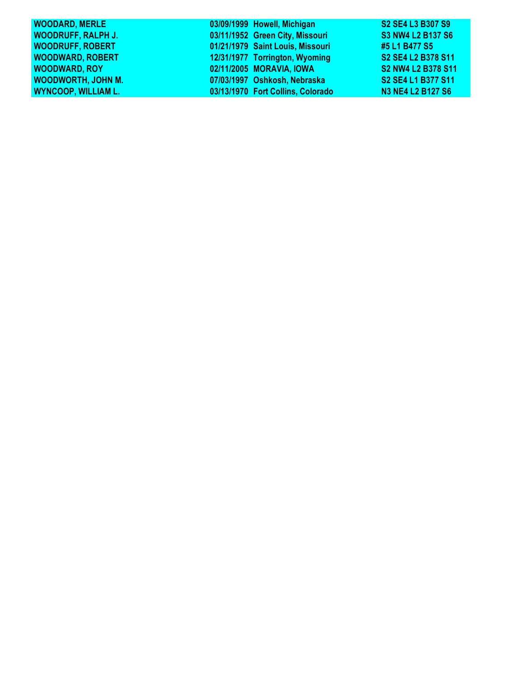| <b>WOODARD, MERLE</b>      | 03/09/1999 Howell, Michigan       | S2 SE4 L3 B307 S9        |
|----------------------------|-----------------------------------|--------------------------|
| <b>WOODRUFF, RALPH J.</b>  | 03/11/1952 Green City, Missouri   | <b>S3 NW4 L2 B137 S6</b> |
| <b>WOODRUFF, ROBERT</b>    | 01/21/1979 Saint Louis, Missouri  | #5 L1 B477 S5            |
| <b>WOODWARD, ROBERT</b>    | 12/31/1977 Torrington, Wyoming    | S2 SE4 L2 B378 S11       |
| <b>WOODWARD, ROY</b>       | 02/11/2005 MORAVIA, IOWA          | S2 NW4 L2 B378 S11       |
| <b>WOODWORTH, JOHN M.</b>  | 07/03/1997 Oshkosh, Nebraska      | S2 SE4 L1 B377 S11       |
| <b>WYNCOOP, WILLIAM L.</b> | 03/13/1970 Fort Collins, Colorado | <b>N3 NE4 L2 B127 S6</b> |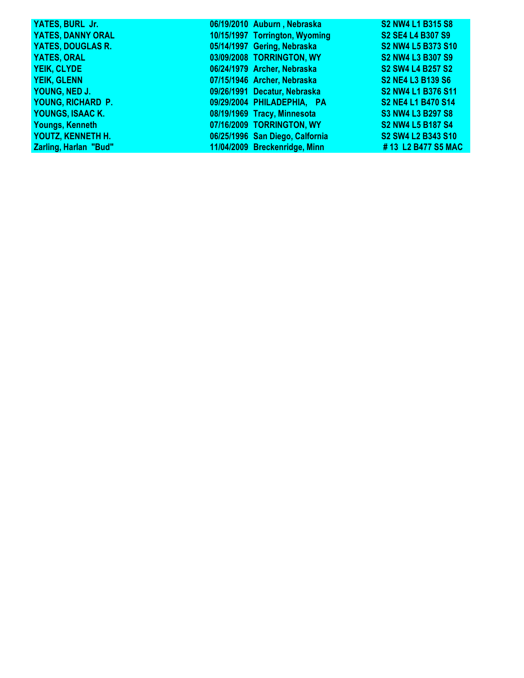| YATES, BURL Jr.              | 06/19/2010 Auburn, Nebraska     | S2 NW4 L1 B315 S8        |
|------------------------------|---------------------------------|--------------------------|
| <b>YATES, DANNY ORAL</b>     | 10/15/1997 Torrington, Wyoming  | S2 SE4 L4 B307 S9        |
| <b>YATES, DOUGLAS R.</b>     | 05/14/1997 Gering, Nebraska     | S2 NW4 L5 B373 S10       |
| <b>YATES, ORAL</b>           | 03/09/2008 TORRINGTON, WY       | <b>S2 NW4 L3 B307 S9</b> |
| YEIK, CLYDE                  | 06/24/1979 Archer, Nebraska     | S2 SW4 L4 B257 S2        |
| <b>YEIK, GLENN</b>           | 07/15/1946 Archer, Nebraska     | <b>S2 NE4 L3 B139 S6</b> |
| YOUNG, NED J.                | 09/26/1991 Decatur, Nebraska    | S2 NW4 L1 B376 S11       |
| YOUNG, RICHARD P.            | 09/29/2004 PHILADEPHIA, PA      | S2 NE4 L1 B470 S14       |
| YOUNGS, ISAAC K.             | 08/19/1969 Tracy, Minnesota     | <b>S3 NW4 L3 B297 S8</b> |
| Youngs, Kenneth              | 07/16/2009 TORRINGTON, WY       | <b>S2 NW4 L5 B187 S4</b> |
| YOUTZ, KENNETH H.            | 06/25/1996 San Diego, Calfornia | S2 SW4 L2 B343 S10       |
| <b>Zarling, Harlan "Bud"</b> | 11/04/2009 Breckenridge, Minn   | #13 L2 B477 S5 MAC       |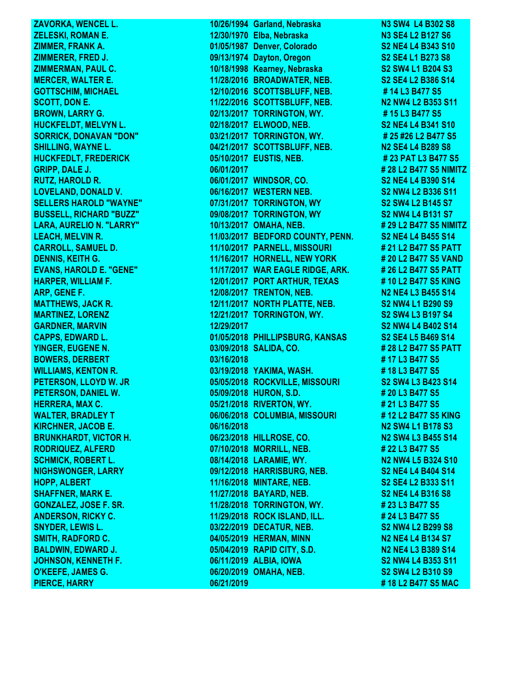**ZAVORKA, WENCEL L. 10/26/1994 Garland, Nebraska N3 SW4 L4 B302 S8 ZELESKI, ROMAN E. 12/30/1970 Elba, Nebraska N3 SE4 L2 B127 S6 ZIMMER, FRANK A. 01/05/1987 Denver, Colorado S2 NE4 L4 B343 S10 ZIMMERER, FRED J. 09/13/1974 Dayton, Oregon S2 SE4 L1 B273 S8 ZIMMERMAN, PAUL C. 10/18/1998 Kearney, Nebraska S2 SW4 L1 B204 S3 MERCER, WALTER E. 11/28/2016 BROADWATER, NEB. S2 SE4 L2 B386 S14 GOTTSCHIM, MICHAEL 12/10/2016 SCOTTSBLUFF, NEB. # 14 L3 B477 S5 SCOTT, DON E.** 2008 2014 2022 2016 SCOTTSBLUFF, NEB. 2028 N2 NW4 L2 B353 S11 **BROWN, LARRY G. 02/13/2017 TORRINGTON, WY.** # 15 L3 B477 S5 **HUCKFELDT, MELVYN L. 02/18/2017 ELWOOD, NEB. S2 NE4 L4 B341 S10 SORRICK, DONAVAN "DON"** 03/21/2017 TORRINGTON, WY. # 25 #26 L2 B477 S5 **SHILLING, WAYNE L. 04/21/2017 SCOTTSBLUFF, NEB. N2 SE4 L4 B289 S8 HUCKFEDLT, FREDERICK 05/10/2017 EUSTIS, NEB. # 23 PAT L3 B477 S5 GRIPP, DALE J. 06/01/2017 # 28 L2 B477 S5 NIMITZ RUTZ, HAROLD R. 06/01/2017 WINDSOR, CO. S2 NE4 L4 B390 S14 LOVELAND, DONALD V. 06/16/2017 WESTERN NEB. S2 NW4 L2 B336 S11 SELLERS HAROLD "WAYNE" 07/31/2017 TORRINGTON, WY S2 SW4 L2 B145 S7 BUSSELL, RICHARD "BUZZ" 09/08/2017 TORRINGTON, WY S2 NW4 L4 B131 S7 LARA, AURELIO N. "LARRY" 10/13/2017 OMAHA, NEB. # 29 L2 B477 S5 NIMITZ LEACH, MELVIN R. 11/03/2017 BEDFORD COUNTY, PENN. S2 NE4 L4 B455 S14 CARROLL, SAMUEL D. 11/10/2017 PARNELL, MISSOURI # 21 L2 B477 S5 PATT DENNIS, KEITH G. 11/16/2017 HORNELL, NEW YORK # 20 L2 B477 S5 VAND EVANS, HAROLD E. "GENE" 11/17/2017 WAR EAGLE RIDGE, ARK. # 26 L2 B477 S5 PATT HARPER, WILLIAM F. 12/01/2017 PORT ARTHUR, TEXAS # 10 L2 B477 S5 KING ARP, GENE F.** 12/08/2017 TRENTON, NEB. N2 NE4 L3 B455 S14 **MATTHEWS, JACK R. 12/11/2017 NORTH PLATTE, NEB.** S2 NW4 L1 B290 S9 **MARTINEZ, LORENZ 12/21/2017 TORRINGTON, WY. S2 SW4 L3 B197 S4 GARDNER, MARVIN 12/29/2017 S2 NW4 L4 B402 S14 CAPPS, EDWARD L. 01/05/2018 PHILLIPSBURG, KANSAS \$2 SE4 L5 B469 S14 YINGER, EUGENE N. 03/09/2018 SALIDA, CO. # 28 L2 B477 S5 PATT BOWERS, DERBERT 63/16/2018 63/16/2018 13/16/2018 13/16/2018 13/16/2018 WILLIAMS, KENTON R. 03/19/2018 YAKIMA, WASH. # 18 L3 B477 S5** PETERSON, LLOYD W. JR **05/05/2018 ROCKVILLE, MISSOURI S2 SW4 L3 B423 S14 PETERSON, DANIEL W. 05/09/2018 HURON, S.D. # 20 L3 B477 S5 HERRERA, MAX C. 05/21/2018 RIVERTON, WY. # 21 L3 B477 S5 WALTER, BRADLEY T 06/06/2018 COLUMBIA, MISSOURI # 12 L2 B477 S5 KING KIRCHNER, JACOB E. 06/16/2018 N2 SW4 L1 B178 S3 BRUNKHARDT, VICTOR H. 1998 1999 106/23/2018 HILLROSE, CO. N2 SW4 L3 B455 S14 RODRIQUEZ, ALFERD 07/10/2018 MORRILL, NEB. # 22 L3 B477 S5 SCHMICK, ROBERT L. 08/14/2018 LARAMIE, WY. N2 NW4 L5 B324 S10 NIGHSWONGER, LARRY 09/12/2018 HARRISBURG, NEB. S2 NE4 L4 B404 S14 HOPP, ALBERT 11/16/2018 MINTARE, NEB. S2 SE4 L2 B333 S11 SHAFFNER, MARK E. 11/27/2018 BAYARD, NEB. S2 NE4 L4 B316 S8 GONZALEZ, JOSE F. SR. 11/28/2018 TORRINGTON, WY. # 23 L3 B477 S5 ANDERSON, RICKY C. 11/29/2018 ROCK ISLAND, ILL. # 24 L3 B477 S5 SNYDER, LEWIS L. 03/22/2019 DECATUR, NEB. S2 NW4 L2 B299 S8 SMITH, RADFORD C. 04/05/2019 HERMAN, MINN N2 NE4 L4 B134 S7 BALDWIN, EDWARD J. 05/04/2019 RAPID CITY, S.D. N2 NE4 L3 B389 S14 JOHNSON, KENNETH F. 06/11/2019 ALBIA, IOWA S2 NW4 L4 B353 S11 O'KEEFE, JAMES G. 06/20/2019 OMAHA, NEB. S2 SW4 L2 B310 S9 PIERCE, HARRY 06/21/2019 # 18 L2 B477 S5 MAC**